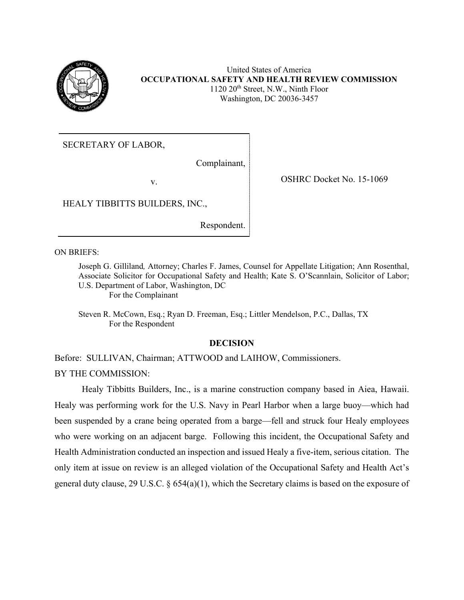

United States of America **OCCUPATIONAL SAFETY AND HEALTH REVIEW COMMISSION** 1120 20<sup>th</sup> Street, N.W., Ninth Floor Washington, DC 20036-3457

SECRETARY OF LABOR,

Complainant,

v. SHRC Docket No. 15-1069

HEALY TIBBITTS BUILDERS, INC.,

Respondent.

ON BRIEFS:

Joseph G. Gilliland*,* Attorney; Charles F. James, Counsel for Appellate Litigation; Ann Rosenthal, Associate Solicitor for Occupational Safety and Health; Kate S. O'Scannlain, Solicitor of Labor; U.S. Department of Labor, Washington, DC For the Complainant

Steven R. McCown, Esq.; Ryan D. Freeman, Esq.; Littler Mendelson, P.C., Dallas, TX For the Respondent

# **DECISION**

Before: SULLIVAN, Chairman; ATTWOOD and LAIHOW, Commissioners. BY THE COMMISSION:

Healy Tibbitts Builders, Inc., is a marine construction company based in Aiea, Hawaii. Healy was performing work for the U.S. Navy in Pearl Harbor when a large buoy—which had been suspended by a crane being operated from a barge—fell and struck four Healy employees who were working on an adjacent barge. Following this incident, the Occupational Safety and Health Administration conducted an inspection and issued Healy a five-item, serious citation. The only item at issue on review is an alleged violation of the Occupational Safety and Health Act's general duty clause, 29 U.S.C. § 654(a)(1), which the Secretary claims is based on the exposure of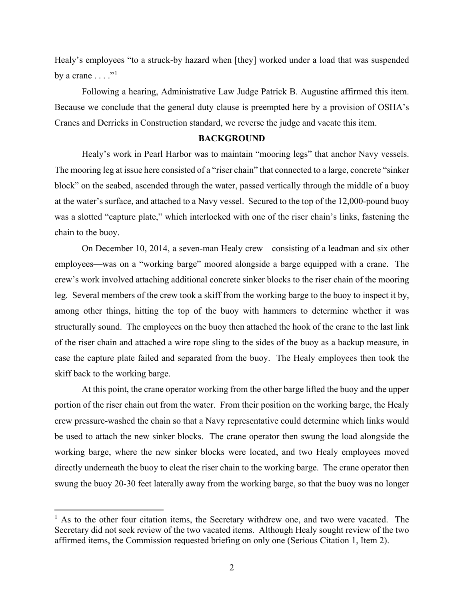Healy's employees "to a struck-by hazard when [they] worked under a load that was suspended by a crane  $\dots$ ."<sup>[1](#page-1-0)</sup>

Following a hearing, Administrative Law Judge Patrick B. Augustine affirmed this item. Because we conclude that the general duty clause is preempted here by a provision of OSHA's Cranes and Derricks in Construction standard, we reverse the judge and vacate this item.

#### **BACKGROUND**

Healy's work in Pearl Harbor was to maintain "mooring legs" that anchor Navy vessels. The mooring leg at issue here consisted of a "riser chain" that connected to a large, concrete "sinker block" on the seabed, ascended through the water, passed vertically through the middle of a buoy at the water's surface, and attached to a Navy vessel. Secured to the top of the 12,000-pound buoy was a slotted "capture plate," which interlocked with one of the riser chain's links, fastening the chain to the buoy.

On December 10, 2014, a seven-man Healy crew—consisting of a leadman and six other employees—was on a "working barge" moored alongside a barge equipped with a crane. The crew's work involved attaching additional concrete sinker blocks to the riser chain of the mooring leg. Several members of the crew took a skiff from the working barge to the buoy to inspect it by, among other things, hitting the top of the buoy with hammers to determine whether it was structurally sound. The employees on the buoy then attached the hook of the crane to the last link of the riser chain and attached a wire rope sling to the sides of the buoy as a backup measure, in case the capture plate failed and separated from the buoy. The Healy employees then took the skiff back to the working barge.

At this point, the crane operator working from the other barge lifted the buoy and the upper portion of the riser chain out from the water. From their position on the working barge, the Healy crew pressure-washed the chain so that a Navy representative could determine which links would be used to attach the new sinker blocks. The crane operator then swung the load alongside the working barge, where the new sinker blocks were located, and two Healy employees moved directly underneath the buoy to cleat the riser chain to the working barge. The crane operator then swung the buoy 20-30 feet laterally away from the working barge, so that the buoy was no longer

<span id="page-1-0"></span> $<sup>1</sup>$  As to the other four citation items, the Secretary withdrew one, and two were vacated. The</sup> Secretary did not seek review of the two vacated items. Although Healy sought review of the two affirmed items, the Commission requested briefing on only one (Serious Citation 1, Item 2).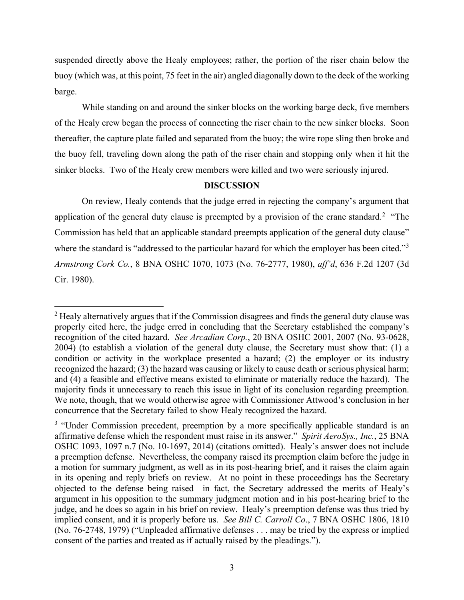suspended directly above the Healy employees; rather, the portion of the riser chain below the buoy (which was, at this point, 75 feet in the air) angled diagonally down to the deck of the working barge.

While standing on and around the sinker blocks on the working barge deck, five members of the Healy crew began the process of connecting the riser chain to the new sinker blocks. Soon thereafter, the capture plate failed and separated from the buoy; the wire rope sling then broke and the buoy fell, traveling down along the path of the riser chain and stopping only when it hit the sinker blocks. Two of the Healy crew members were killed and two were seriously injured.

# **DISCUSSION**

On review, Healy contends that the judge erred in rejecting the company's argument that application of the general duty clause is preempted by a provision of the crane standard.<sup>[2](#page-2-0)</sup> "The Commission has held that an applicable standard preempts application of the general duty clause" where the standard is "addressed to the particular hazard for which the employer has been cited."<sup>[3](#page-2-1)</sup> *Armstrong Cork Co.*, 8 BNA OSHC 1070, 1073 (No. 76-2777, 1980), *aff'd*, 636 F.2d 1207 (3d Cir. 1980).

<span id="page-2-0"></span> $2$  Healy alternatively argues that if the Commission disagrees and finds the general duty clause was properly cited here, the judge erred in concluding that the Secretary established the company's recognition of the cited hazard. *See Arcadian Corp.*, 20 BNA OSHC 2001, 2007 (No. 93-0628, 2004) (to establish a violation of the general duty clause, the Secretary must show that: (1) a condition or activity in the workplace presented a hazard; (2) the employer or its industry recognized the hazard; (3) the hazard was causing or likely to cause death or serious physical harm; and (4) a feasible and effective means existed to eliminate or materially reduce the hazard). The majority finds it unnecessary to reach this issue in light of its conclusion regarding preemption. We note, though, that we would otherwise agree with Commissioner Attwood's conclusion in her concurrence that the Secretary failed to show Healy recognized the hazard.

<span id="page-2-1"></span><sup>&</sup>lt;sup>3</sup> "Under Commission precedent, preemption by a more specifically applicable standard is an affirmative defense which the respondent must raise in its answer." *Spirit AeroSys., Inc.*, 25 BNA OSHC 1093, 1097 n.7 (No. 10-1697, 2014) (citations omitted). Healy's answer does not include a preemption defense. Nevertheless, the company raised its preemption claim before the judge in a motion for summary judgment, as well as in its post-hearing brief, and it raises the claim again in its opening and reply briefs on review. At no point in these proceedings has the Secretary objected to the defense being raised—in fact, the Secretary addressed the merits of Healy's argument in his opposition to the summary judgment motion and in his post-hearing brief to the judge, and he does so again in his brief on review. Healy's preemption defense was thus tried by implied consent, and it is properly before us. *See Bill C. Carroll Co*., 7 BNA OSHC 1806, 1810 (No. 76-2748, 1979) ("Unpleaded affirmative defenses . . . may be tried by the express or implied consent of the parties and treated as if actually raised by the pleadings.").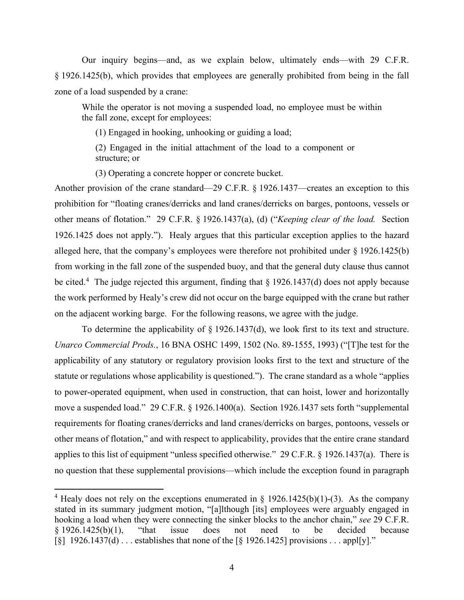Our inquiry begins—and, as we explain below, ultimately ends—with 29 C.F.R. § 1926.1425(b), which provides that employees are generally prohibited from being in the fall zone of a load suspended by a crane:

While the operator is not moving a suspended load, no employee must be within the fall zone, except for employees:

(1) Engaged in hooking, unhooking or guiding a load;

(2) Engaged in the initial attachment of the load to a component or structure; or

(3) Operating a concrete hopper or concrete bucket.

Another provision of the crane standard—29 C.F.R. § 1926.1437—creates an exception to this prohibition for "floating cranes/derricks and land cranes/derricks on barges, pontoons, vessels or other means of flotation." 29 C.F.R. § 1926.1437(a), (d) ("*Keeping clear of the load.* Section 1926.1425 does not apply."). Healy argues that this particular exception applies to the hazard alleged here, that the company's employees were therefore not prohibited under § 1926.1425(b) from working in the fall zone of the suspended buoy, and that the general duty clause thus cannot be cited.<sup>[4](#page-3-0)</sup> The judge rejected this argument, finding that  $\S 1926.1437(d)$  does not apply because the work performed by Healy's crew did not occur on the barge equipped with the crane but rather on the adjacent working barge. For the following reasons, we agree with the judge.

To determine the applicability of § 1926.1437(d), we look first to its text and structure. *Unarco Commercial Prods.*, 16 BNA OSHC 1499, 1502 (No. 89-1555, 1993) ("[T]he test for the applicability of any statutory or regulatory provision looks first to the text and structure of the statute or regulations whose applicability is questioned."). The crane standard as a whole "applies to power-operated equipment, when used in construction, that can hoist, lower and horizontally move a suspended load." 29 C.F.R. § 1926.1400(a). Section 1926.1437 sets forth "supplemental requirements for floating cranes/derricks and land cranes/derricks on barges, pontoons, vessels or other means of flotation," and with respect to applicability, provides that the entire crane standard applies to this list of equipment "unless specified otherwise." 29 C.F.R. § 1926.1437(a). There is no question that these supplemental provisions—which include the exception found in paragraph

<span id="page-3-0"></span><sup>&</sup>lt;sup>4</sup> Healy does not rely on the exceptions enumerated in § 1926.1425(b)(1)-(3). As the company stated in its summary judgment motion, "[a]lthough [its] employees were arguably engaged in hooking a load when they were connecting the sinker blocks to the anchor chain," *see* 29 C.F.R. § 1926.1425(b)(1), "that issue does not need to be decided because  $\lceil \xi \rceil$  1926.1437(d) ... establishes that none of the  $\lceil \xi \rceil$  1926.1425] provisions ... appl[y]."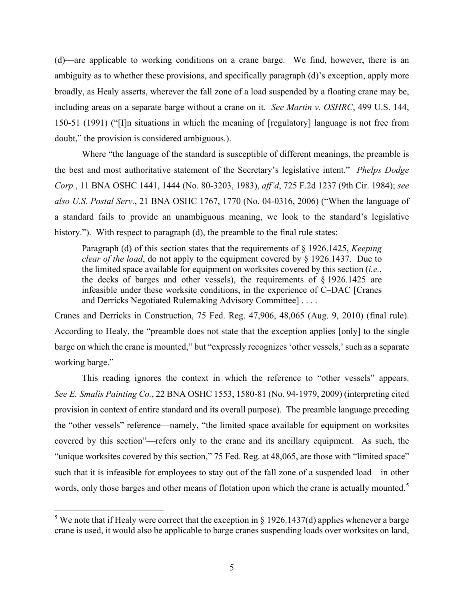(d)—are applicable to working conditions on a crane barge. We find, however, there is an ambiguity as to whether these provisions, and specifically paragraph (d)'s exception, apply more broadly, as Healy asserts, wherever the fall zone of a load suspended by a floating crane may be, including areas on a separate barge without a crane on it. *See Martin v. OSHRC*, 499 U.S. 144, 150-51 (1991) ("[I]n situations in which the meaning of [regulatory] language is not free from doubt," the provision is considered ambiguous.).

Where "the language of the standard is susceptible of different meanings, the preamble is the best and most authoritative statement of the Secretary's legislative intent." *Phelps Dodge Corp.*, 11 BNA OSHC 1441, 1444 (No. 80-3203, 1983), *aff'd*, 725 F.2d 1237 (9th Cir. 1984); *see also U.S. Postal Serv.*, 21 BNA OSHC 1767, 1770 (No. 04-0316, 2006) ("When the language of a standard fails to provide an unambiguous meaning, we look to the standard's legislative history."). With respect to paragraph (d), the preamble to the final rule states:

Paragraph (d) of this section states that the requirements of § 1926.1425, *Keeping clear of the load*, do not apply to the equipment covered by § 1926.1437. Due to the limited space available for equipment on worksites covered by this section (*i.e.*, the decks of barges and other vessels), the requirements of  $\S$  1926.1425 are infeasible under these worksite conditions, in the experience of C–DAC [Cranes and Derricks Negotiated Rulemaking Advisory Committee] . . . .

Cranes and Derricks in Construction, 75 Fed. Reg. 47,906, 48,065 (Aug. 9, 2010) (final rule). According to Healy, the "preamble does not state that the exception applies [only] to the single barge on which the crane is mounted," but "expressly recognizes 'other vessels,' such as a separate working barge."

This reading ignores the context in which the reference to "other vessels" appears. *See E. Smalis Painting Co.*, 22 BNA OSHC 1553, 1580-81 (No. 94-1979, 2009) (interpreting cited provision in context of entire standard and its overall purpose). The preamble language preceding the "other vessels" reference—namely, "the limited space available for equipment on worksites covered by this section"—refers only to the crane and its ancillary equipment. As such, the "unique worksites covered by this section," 75 Fed. Reg. at 48,065, are those with "limited space" such that it is infeasible for employees to stay out of the fall zone of a suspended load—in other words, only those barges and other means of flotation upon which the crane is actually mounted.<sup>[5](#page-4-0)</sup>

<span id="page-4-0"></span><sup>&</sup>lt;sup>5</sup> We note that if Healy were correct that the exception in  $\S$  1926.1437(d) applies whenever a barge crane is used, it would also be applicable to barge cranes suspending loads over worksites on land,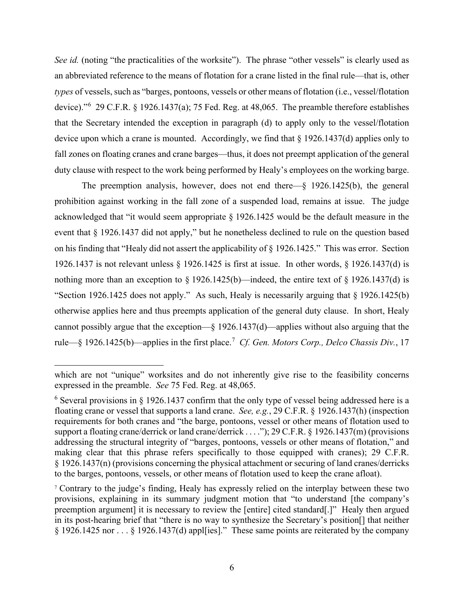*See id.* (noting "the practicalities of the worksite"). The phrase "other vessels" is clearly used as an abbreviated reference to the means of flotation for a crane listed in the final rule—that is, other *types* of vessels, such as "barges, pontoons, vessels or other means of flotation (i.e., vessel/flotation device)."[6](#page-5-0) 29 C.F.R. § 1926.1437(a); 75 Fed. Reg. at 48,065. The preamble therefore establishes that the Secretary intended the exception in paragraph (d) to apply only to the vessel/flotation device upon which a crane is mounted. Accordingly, we find that § 1926.1437(d) applies only to fall zones on floating cranes and crane barges—thus, it does not preempt application of the general duty clause with respect to the work being performed by Healy's employees on the working barge.

The preemption analysis, however, does not end there—§ 1926.1425(b), the general prohibition against working in the fall zone of a suspended load, remains at issue. The judge acknowledged that "it would seem appropriate § 1926.1425 would be the default measure in the event that § 1926.1437 did not apply," but he nonetheless declined to rule on the question based on his finding that "Healy did not assert the applicability of § 1926.1425." This was error. Section 1926.1437 is not relevant unless § 1926.1425 is first at issue. In other words, § 1926.1437(d) is nothing more than an exception to  $\frac{1926.1425(b)}{1926.1485(b)}$  indeed, the entire text of  $\frac{1926.1437(d)}{1926.1437(d)}$  is "Section 1926.1425 does not apply." As such, Healy is necessarily arguing that § 1926.1425(b) otherwise applies here and thus preempts application of the general duty clause. In short, Healy cannot possibly argue that the exception—§ 1926.1437(d)—applies without also arguing that the rule—§ 1926.1425(b)—applies in the first place.[7](#page-5-1) *Cf. Gen. Motors Corp., Delco Chassis Div.*, 17

which are not "unique" worksites and do not inherently give rise to the feasibility concerns expressed in the preamble. *See* 75 Fed. Reg. at 48,065.

<span id="page-5-0"></span> $6$  Several provisions in  $§$  1926.1437 confirm that the only type of vessel being addressed here is a floating crane or vessel that supports a land crane. *See, e.g.*, 29 C.F.R. § 1926.1437(h) (inspection requirements for both cranes and "the barge, pontoons, vessel or other means of flotation used to support a floating crane/derrick or land crane/derrick . . . ."); 29 C.F.R. § 1926.1437(m) (provisions addressing the structural integrity of "barges, pontoons, vessels or other means of flotation," and making clear that this phrase refers specifically to those equipped with cranes); 29 C.F.R. § 1926.1437(n) (provisions concerning the physical attachment or securing of land cranes/derricks to the barges, pontoons, vessels, or other means of flotation used to keep the crane afloat).

<span id="page-5-1"></span><sup>7</sup> Contrary to the judge's finding, Healy has expressly relied on the interplay between these two provisions, explaining in its summary judgment motion that "to understand [the company's preemption argument] it is necessary to review the [entire] cited standard[.]" Healy then argued in its post-hearing brief that "there is no way to synthesize the Secretary's position[] that neither § 1926.1425 nor . . . § 1926.1437(d) appl[ies]." These same points are reiterated by the company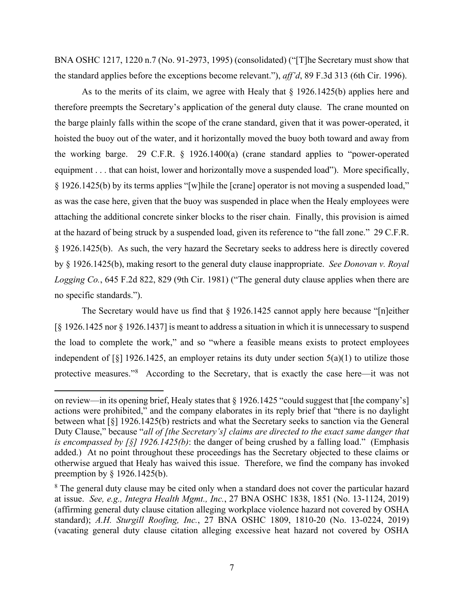BNA OSHC 1217, 1220 n.7 (No. 91-2973, 1995) (consolidated) ("[T]he Secretary must show that the standard applies before the exceptions become relevant."), *aff'd*, 89 F.3d 313 (6th Cir. 1996).

As to the merits of its claim, we agree with Healy that § 1926.1425(b) applies here and therefore preempts the Secretary's application of the general duty clause. The crane mounted on the barge plainly falls within the scope of the crane standard, given that it was power-operated, it hoisted the buoy out of the water, and it horizontally moved the buoy both toward and away from the working barge. 29 C.F.R. § 1926.1400(a) (crane standard applies to "power-operated equipment . . . that can hoist, lower and horizontally move a suspended load"). More specifically, § 1926.1425(b) by its terms applies "[w]hile the [crane] operator is not moving a suspended load," as was the case here, given that the buoy was suspended in place when the Healy employees were attaching the additional concrete sinker blocks to the riser chain. Finally, this provision is aimed at the hazard of being struck by a suspended load, given its reference to "the fall zone." 29 C.F.R. § 1926.1425(b). As such, the very hazard the Secretary seeks to address here is directly covered by § 1926.1425(b), making resort to the general duty clause inappropriate. *See Donovan v. Royal Logging Co.*, 645 F.2d 822, 829 (9th Cir. 1981) ("The general duty clause applies when there are no specific standards.").

The Secretary would have us find that § 1926.1425 cannot apply here because "[n]either [§ 1926.1425 nor § 1926.1437] is meant to address a situation in which it is unnecessary to suspend the load to complete the work," and so "where a feasible means exists to protect employees independent of  $\lceil \xi \rceil$  1926.1425, an employer retains its duty under section  $5(a)(1)$  to utilize those protective measures."<sup>[8](#page-6-0)</sup> According to the Secretary, that is exactly the case here—it was not

on review—in its opening brief, Healy states that § 1926.1425 "could suggest that [the company's] actions were prohibited," and the company elaborates in its reply brief that "there is no daylight between what [§] 1926.1425(b) restricts and what the Secretary seeks to sanction via the General Duty Clause," because "*all of [the Secretary's] claims are directed to the exact same danger that is encompassed by [§] 1926.1425(b)*: the danger of being crushed by a falling load." (Emphasis added.) At no point throughout these proceedings has the Secretary objected to these claims or otherwise argued that Healy has waived this issue. Therefore, we find the company has invoked preemption by § 1926.1425(b).

<span id="page-6-0"></span><sup>&</sup>lt;sup>8</sup> The general duty clause may be cited only when a standard does not cover the particular hazard at issue. *See, e.g., Integra Health Mgmt., Inc.*, 27 BNA OSHC 1838, 1851 (No. 13-1124, 2019) (affirming general duty clause citation alleging workplace violence hazard not covered by OSHA standard); *A.H. Sturgill Roofing, Inc.*, 27 BNA OSHC 1809, 1810-20 (No. 13-0224, 2019) (vacating general duty clause citation alleging excessive heat hazard not covered by OSHA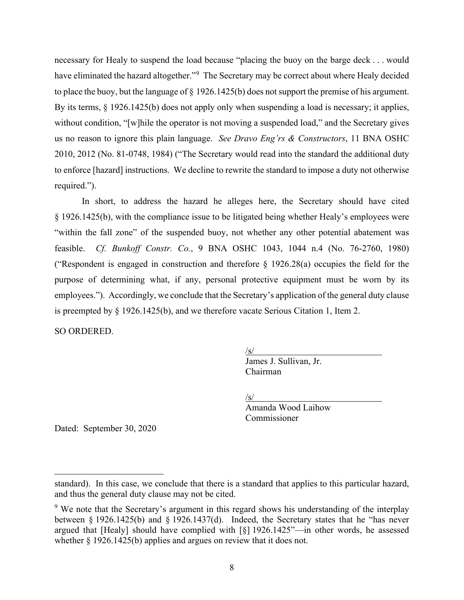necessary for Healy to suspend the load because "placing the buoy on the barge deck . . . would have eliminated the hazard altogether."<sup>[9](#page-7-0)</sup> The Secretary may be correct about where Healy decided to place the buoy, but the language of § 1926.1425(b) does not support the premise of his argument. By its terms, § 1926.1425(b) does not apply only when suspending a load is necessary; it applies, without condition, "[w]hile the operator is not moving a suspended load," and the Secretary gives us no reason to ignore this plain language. *See Dravo Eng'rs & Constructors*, 11 BNA OSHC 2010, 2012 (No. 81-0748, 1984) ("The Secretary would read into the standard the additional duty to enforce [hazard] instructions. We decline to rewrite the standard to impose a duty not otherwise required.").

In short, to address the hazard he alleges here, the Secretary should have cited § 1926.1425(b), with the compliance issue to be litigated being whether Healy's employees were "within the fall zone" of the suspended buoy, not whether any other potential abatement was feasible. *Cf. Bunkoff Constr. Co.*, 9 BNA OSHC 1043, 1044 n.4 (No. 76-2760, 1980) ("Respondent is engaged in construction and therefore  $\S$  1926.28(a) occupies the field for the purpose of determining what, if any, personal protective equipment must be worn by its employees."). Accordingly, we conclude that the Secretary's application of the general duty clause is preempted by § 1926.1425(b), and we therefore vacate Serious Citation 1, Item 2.

SO ORDERED.

/s/

James J. Sullivan, Jr. Chairman

/s/

Amanda Wood Laihow Commissioner

Dated: September 30, 2020

standard). In this case, we conclude that there is a standard that applies to this particular hazard, and thus the general duty clause may not be cited.

<span id="page-7-0"></span> $9\,$  We note that the Secretary's argument in this regard shows his understanding of the interplay between § 1926.1425(b) and § 1926.1437(d). Indeed, the Secretary states that he "has never argued that [Healy] should have complied with [§] 1926.1425"—in other words, he assessed whether § 1926.1425(b) applies and argues on review that it does not.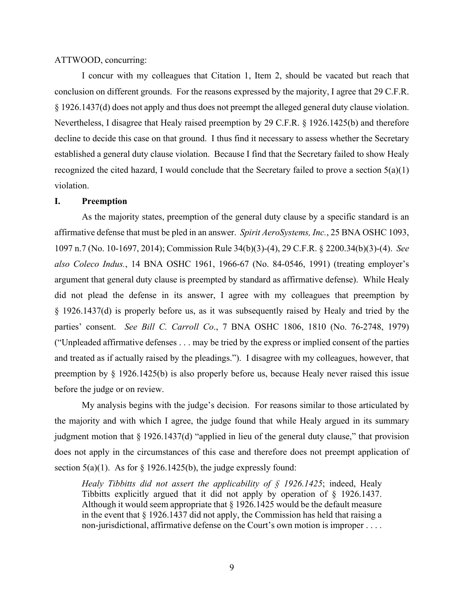### ATTWOOD, concurring:

I concur with my colleagues that Citation 1, Item 2, should be vacated but reach that conclusion on different grounds. For the reasons expressed by the majority, I agree that 29 C.F.R. § 1926.1437(d) does not apply and thus does not preempt the alleged general duty clause violation. Nevertheless, I disagree that Healy raised preemption by 29 C.F.R. § 1926.1425(b) and therefore decline to decide this case on that ground. I thus find it necessary to assess whether the Secretary established a general duty clause violation. Because I find that the Secretary failed to show Healy recognized the cited hazard, I would conclude that the Secretary failed to prove a section  $5(a)(1)$ violation.

### **I. Preemption**

As the majority states, preemption of the general duty clause by a specific standard is an affirmative defense that must be pled in an answer. *Spirit AeroSystems, Inc.*, 25 BNA OSHC 1093, 1097 n.7 (No. 10-1697, 2014); Commission Rule 34(b)(3)-(4), 29 C.F.R. § 2200.34(b)(3)-(4). *See also Coleco Indus.*, 14 BNA OSHC 1961, 1966-67 (No. 84-0546, 1991) (treating employer's argument that general duty clause is preempted by standard as affirmative defense). While Healy did not plead the defense in its answer, I agree with my colleagues that preemption by § 1926.1437(d) is properly before us, as it was subsequently raised by Healy and tried by the parties' consent. *See Bill C. Carroll Co*., 7 BNA OSHC 1806, 1810 (No. 76-2748, 1979) ("Unpleaded affirmative defenses . . . may be tried by the express or implied consent of the parties and treated as if actually raised by the pleadings."). I disagree with my colleagues, however, that preemption by § 1926.1425(b) is also properly before us, because Healy never raised this issue before the judge or on review.

My analysis begins with the judge's decision. For reasons similar to those articulated by the majority and with which I agree, the judge found that while Healy argued in its summary judgment motion that § 1926.1437(d) "applied in lieu of the general duty clause," that provision does not apply in the circumstances of this case and therefore does not preempt application of section  $5(a)(1)$ . As for  $\frac{1926.1425(b)}{b}$ , the judge expressly found:

*Healy Tibbitts did not assert the applicability of § 1926.1425*; indeed, Healy Tibbitts explicitly argued that it did not apply by operation of § 1926.1437. Although it would seem appropriate that  $\S 1926.1425$  would be the default measure in the event that § 1926.1437 did not apply, the Commission has held that raising a non-jurisdictional, affirmative defense on the Court's own motion is improper . . . .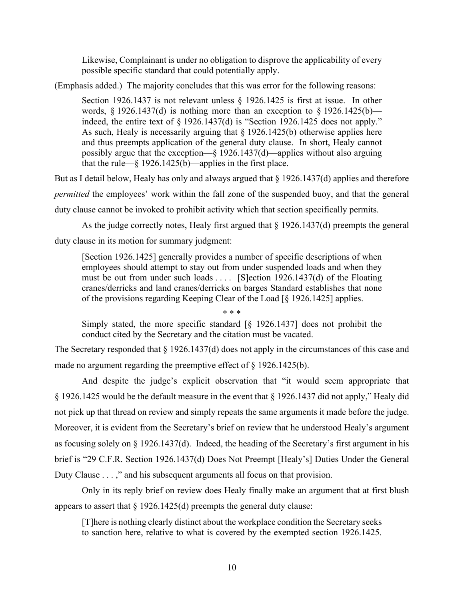Likewise, Complainant is under no obligation to disprove the applicability of every possible specific standard that could potentially apply.

(Emphasis added.) The majority concludes that this was error for the following reasons:

Section 1926.1437 is not relevant unless § 1926.1425 is first at issue. In other words,  $\S 1926.1437(d)$  is nothing more than an exception to  $\S 1926.1425(b)$  indeed, the entire text of § 1926.1437(d) is "Section 1926.1425 does not apply." As such, Healy is necessarily arguing that § 1926.1425(b) otherwise applies here and thus preempts application of the general duty clause. In short, Healy cannot possibly argue that the exception—§ 1926.1437(d)—applies without also arguing that the rule— $\S$  1926.1425(b)—applies in the first place.

But as I detail below, Healy has only and always argued that § 1926.1437(d) applies and therefore *permitted* the employees' work within the fall zone of the suspended buoy, and that the general duty clause cannot be invoked to prohibit activity which that section specifically permits.

As the judge correctly notes, Healy first argued that § 1926.1437(d) preempts the general duty clause in its motion for summary judgment:

[Section 1926.1425] generally provides a number of specific descriptions of when employees should attempt to stay out from under suspended loads and when they must be out from under such loads  $\dots$  [S]ection 1926.1437(d) of the Floating cranes/derricks and land cranes/derricks on barges Standard establishes that none of the provisions regarding Keeping Clear of the Load [§ 1926.1425] applies.

\* \* \*

Simply stated, the more specific standard [§ 1926.1437] does not prohibit the conduct cited by the Secretary and the citation must be vacated.

The Secretary responded that § 1926.1437(d) does not apply in the circumstances of this case and made no argument regarding the preemptive effect of § 1926.1425(b).

And despite the judge's explicit observation that "it would seem appropriate that § 1926.1425 would be the default measure in the event that § 1926.1437 did not apply," Healy did not pick up that thread on review and simply repeats the same arguments it made before the judge. Moreover, it is evident from the Secretary's brief on review that he understood Healy's argument as focusing solely on § 1926.1437(d). Indeed, the heading of the Secretary's first argument in his brief is "29 C.F.R. Section 1926.1437(d) Does Not Preempt [Healy's] Duties Under the General Duty Clause . . . ," and his subsequent arguments all focus on that provision.

Only in its reply brief on review does Healy finally make an argument that at first blush appears to assert that  $\S 1926.1425(d)$  preempts the general duty clause:

[T]here is nothing clearly distinct about the workplace condition the Secretary seeks to sanction here, relative to what is covered by the exempted section 1926.1425.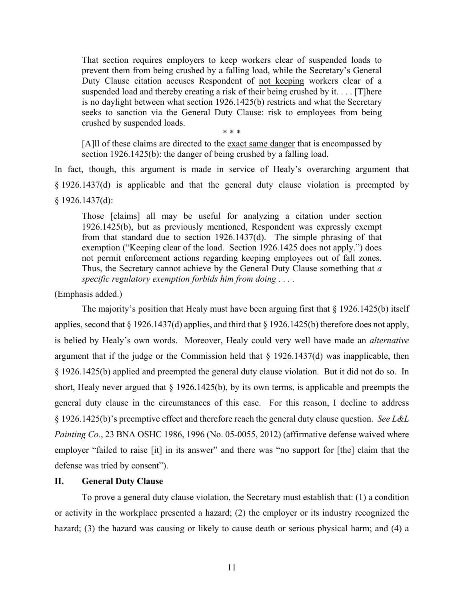That section requires employers to keep workers clear of suspended loads to prevent them from being crushed by a falling load, while the Secretary's General Duty Clause citation accuses Respondent of not keeping workers clear of a suspended load and thereby creating a risk of their being crushed by it. . . . [T]here is no daylight between what section 1926.1425(b) restricts and what the Secretary seeks to sanction via the General Duty Clause: risk to employees from being crushed by suspended loads.

[A]ll of these claims are directed to the exact same danger that is encompassed by section 1926.1425(b): the danger of being crushed by a falling load.

\* \* \*

In fact, though, this argument is made in service of Healy's overarching argument that § 1926.1437(d) is applicable and that the general duty clause violation is preempted by § 1926.1437(d):

Those [claims] all may be useful for analyzing a citation under section 1926.1425(b), but as previously mentioned, Respondent was expressly exempt from that standard due to section 1926.1437(d). The simple phrasing of that exemption ("Keeping clear of the load. Section 1926.1425 does not apply.") does not permit enforcement actions regarding keeping employees out of fall zones. Thus, the Secretary cannot achieve by the General Duty Clause something that *a specific regulatory exemption forbids him from doing* . . . .

(Emphasis added.)

The majority's position that Healy must have been arguing first that  $\S$  1926.1425(b) itself applies, second that § 1926.1437(d) applies, and third that § 1926.1425(b) therefore does not apply, is belied by Healy's own words. Moreover, Healy could very well have made an *alternative* argument that if the judge or the Commission held that  $\S$  1926.1437(d) was inapplicable, then § 1926.1425(b) applied and preempted the general duty clause violation. But it did not do so. In short, Healy never argued that § 1926.1425(b), by its own terms, is applicable and preempts the general duty clause in the circumstances of this case. For this reason, I decline to address § 1926.1425(b)'s preemptive effect and therefore reach the general duty clause question. *See L&L Painting Co.*, 23 BNA OSHC 1986, 1996 (No. 05-0055, 2012) (affirmative defense waived where employer "failed to raise [it] in its answer" and there was "no support for [the] claim that the defense was tried by consent").

### **II. General Duty Clause**

To prove a general duty clause violation, the Secretary must establish that: (1) a condition or activity in the workplace presented a hazard; (2) the employer or its industry recognized the hazard; (3) the hazard was causing or likely to cause death or serious physical harm; and (4) a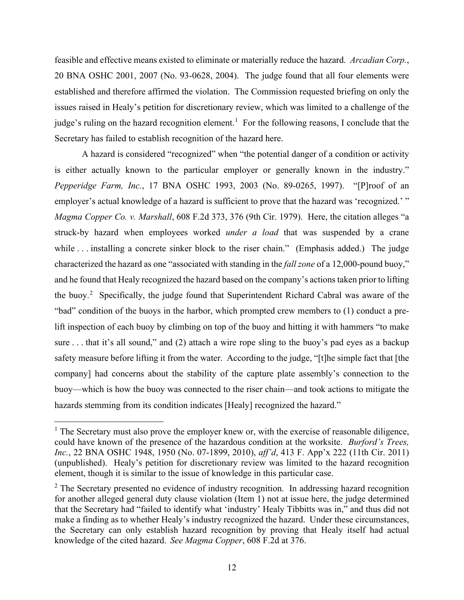feasible and effective means existed to eliminate or materially reduce the hazard. *Arcadian Corp.*, 20 BNA OSHC 2001, 2007 (No. 93-0628, 2004). The judge found that all four elements were established and therefore affirmed the violation. The Commission requested briefing on only the issues raised in Healy's petition for discretionary review, which was limited to a challenge of the judge's ruling on the hazard recognition element.<sup>[1](#page-11-0)</sup> For the following reasons, I conclude that the Secretary has failed to establish recognition of the hazard here.

A hazard is considered "recognized" when "the potential danger of a condition or activity is either actually known to the particular employer or generally known in the industry." *Pepperidge Farm, Inc.*, 17 BNA OSHC 1993, 2003 (No. 89-0265, 1997). "[P]roof of an employer's actual knowledge of a hazard is sufficient to prove that the hazard was 'recognized.' " *Magma Copper Co. v. Marshall*, 608 F.2d 373, 376 (9th Cir. 1979). Here, the citation alleges "a struck-by hazard when employees worked *under a load* that was suspended by a crane while . . . installing a concrete sinker block to the riser chain." (Emphasis added.) The judge characterized the hazard as one "associated with standing in the *fall zone* of a 12,000-pound buoy," and he found that Healy recognized the hazard based on the company's actionstaken prior to lifting the buoy.<sup>[2](#page-11-1)</sup> Specifically, the judge found that Superintendent Richard Cabral was aware of the "bad" condition of the buoys in the harbor, which prompted crew members to (1) conduct a prelift inspection of each buoy by climbing on top of the buoy and hitting it with hammers "to make sure . . . that it's all sound," and (2) attach a wire rope sling to the buoy's pad eyes as a backup safety measure before lifting it from the water. According to the judge, "[t]he simple fact that [the company] had concerns about the stability of the capture plate assembly's connection to the buoy—which is how the buoy was connected to the riser chain—and took actions to mitigate the hazards stemming from its condition indicates [Healy] recognized the hazard."

<span id="page-11-0"></span> $<sup>1</sup>$  The Secretary must also prove the employer knew or, with the exercise of reasonable diligence,</sup> could have known of the presence of the hazardous condition at the worksite. *Burford's Trees, Inc.*, 22 BNA OSHC 1948, 1950 (No. 07-1899, 2010), *aff'd*, 413 F. App'x 222 (11th Cir. 2011) (unpublished). Healy's petition for discretionary review was limited to the hazard recognition element, though it is similar to the issue of knowledge in this particular case.

<span id="page-11-1"></span> $2$  The Secretary presented no evidence of industry recognition. In addressing hazard recognition for another alleged general duty clause violation (Item 1) not at issue here, the judge determined that the Secretary had "failed to identify what 'industry' Healy Tibbitts was in," and thus did not make a finding as to whether Healy's industry recognized the hazard. Under these circumstances, the Secretary can only establish hazard recognition by proving that Healy itself had actual knowledge of the cited hazard. *See Magma Copper*, 608 F.2d at 376.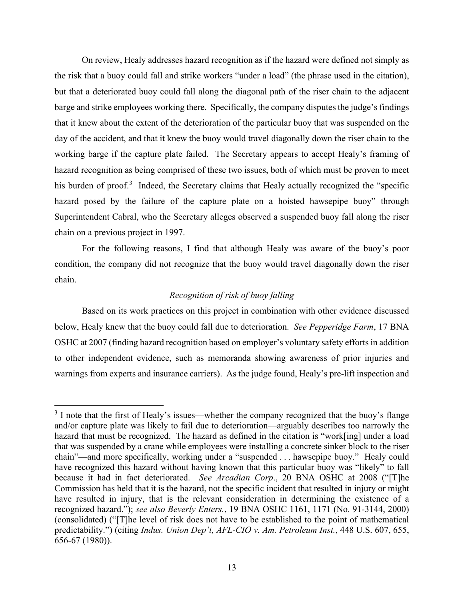On review, Healy addresses hazard recognition as if the hazard were defined not simply as the risk that a buoy could fall and strike workers "under a load" (the phrase used in the citation), but that a deteriorated buoy could fall along the diagonal path of the riser chain to the adjacent barge and strike employees working there. Specifically, the company disputes the judge's findings that it knew about the extent of the deterioration of the particular buoy that was suspended on the day of the accident, and that it knew the buoy would travel diagonally down the riser chain to the working barge if the capture plate failed. The Secretary appears to accept Healy's framing of hazard recognition as being comprised of these two issues, both of which must be proven to meet his burden of proof.<sup>[3](#page-12-0)</sup> Indeed, the Secretary claims that Healy actually recognized the "specific hazard posed by the failure of the capture plate on a hoisted hawsepipe buoy" through Superintendent Cabral, who the Secretary alleges observed a suspended buoy fall along the riser chain on a previous project in 1997.

For the following reasons, I find that although Healy was aware of the buoy's poor condition, the company did not recognize that the buoy would travel diagonally down the riser chain.

# *Recognition of risk of buoy falling*

Based on its work practices on this project in combination with other evidence discussed below, Healy knew that the buoy could fall due to deterioration. *See Pepperidge Farm*, 17 BNA OSHC at 2007 (finding hazard recognition based on employer's voluntary safety efforts in addition to other independent evidence, such as memoranda showing awareness of prior injuries and warnings from experts and insurance carriers). As the judge found, Healy's pre-lift inspection and

<span id="page-12-0"></span> $3$  I note that the first of Healy's issues—whether the company recognized that the buoy's flange and/or capture plate was likely to fail due to deterioration—arguably describes too narrowly the hazard that must be recognized. The hazard as defined in the citation is "work[ing] under a load that was suspended by a crane while employees were installing a concrete sinker block to the riser chain"—and more specifically, working under a "suspended . . . hawsepipe buoy." Healy could have recognized this hazard without having known that this particular buoy was "likely" to fall because it had in fact deteriorated. *See Arcadian Corp*., 20 BNA OSHC at 2008 ("[T]he Commission has held that it is the hazard, not the specific incident that resulted in injury or might have resulted in injury, that is the relevant consideration in determining the existence of a recognized hazard."); *see also Beverly Enters.*, 19 BNA OSHC 1161, 1171 (No. 91-3144, 2000) (consolidated) ("[T]he level of risk does not have to be established to the point of mathematical predictability.") (citing *Indus. Union Dep't, AFL-CIO v. Am. Petroleum Inst.*, 448 U.S. 607, 655, 656-67 (1980)).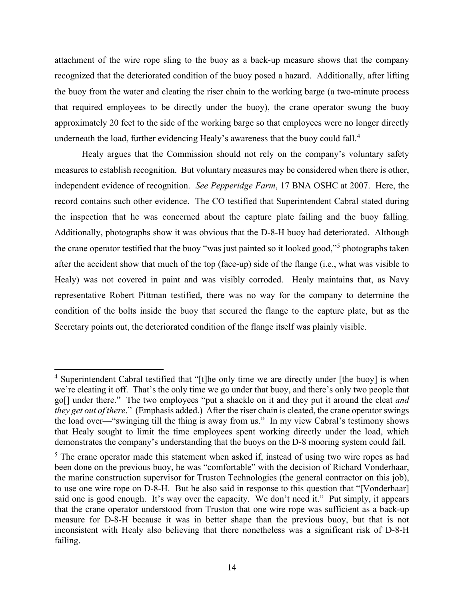attachment of the wire rope sling to the buoy as a back-up measure shows that the company recognized that the deteriorated condition of the buoy posed a hazard. Additionally, after lifting the buoy from the water and cleating the riser chain to the working barge (a two-minute process that required employees to be directly under the buoy), the crane operator swung the buoy approximately 20 feet to the side of the working barge so that employees were no longer directly underneath the load, further evidencing Healy's awareness that the buoy could fall.<sup>[4](#page-13-0)</sup>

Healy argues that the Commission should not rely on the company's voluntary safety measures to establish recognition. But voluntary measures may be considered when there is other, independent evidence of recognition. *See Pepperidge Farm*, 17 BNA OSHC at 2007. Here, the record contains such other evidence. The CO testified that Superintendent Cabral stated during the inspection that he was concerned about the capture plate failing and the buoy falling. Additionally, photographs show it was obvious that the D-8-H buoy had deteriorated. Although the crane operator testified that the buoy "was just painted so it looked good,"[5](#page-13-1) photographs taken after the accident show that much of the top (face-up) side of the flange (i.e., what was visible to Healy) was not covered in paint and was visibly corroded. Healy maintains that, as Navy representative Robert Pittman testified, there was no way for the company to determine the condition of the bolts inside the buoy that secured the flange to the capture plate, but as the Secretary points out, the deteriorated condition of the flange itself was plainly visible.

<span id="page-13-0"></span><sup>&</sup>lt;sup>4</sup> Superintendent Cabral testified that "[t]he only time we are directly under [the buoy] is when we're cleating it off. That's the only time we go under that buoy, and there's only two people that go[] under there." The two employees "put a shackle on it and they put it around the cleat *and they get out of there*." (Emphasis added.) After the riser chain is cleated, the crane operator swings the load over—"swinging till the thing is away from us." In my view Cabral's testimony shows that Healy sought to limit the time employees spent working directly under the load, which demonstrates the company's understanding that the buoys on the D-8 mooring system could fall.

<span id="page-13-1"></span><sup>&</sup>lt;sup>5</sup> The crane operator made this statement when asked if, instead of using two wire ropes as had been done on the previous buoy, he was "comfortable" with the decision of Richard Vonderhaar, the marine construction supervisor for Truston Technologies (the general contractor on this job), to use one wire rope on D-8-H. But he also said in response to this question that "[Vonderhaar] said one is good enough. It's way over the capacity. We don't need it." Put simply, it appears that the crane operator understood from Truston that one wire rope was sufficient as a back-up measure for D-8-H because it was in better shape than the previous buoy, but that is not inconsistent with Healy also believing that there nonetheless was a significant risk of D-8-H failing.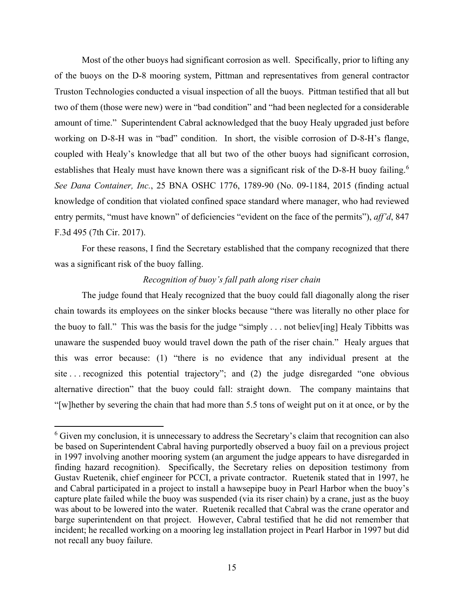Most of the other buoys had significant corrosion as well. Specifically, prior to lifting any of the buoys on the D-8 mooring system, Pittman and representatives from general contractor Truston Technologies conducted a visual inspection of all the buoys. Pittman testified that all but two of them (those were new) were in "bad condition" and "had been neglected for a considerable amount of time." Superintendent Cabral acknowledged that the buoy Healy upgraded just before working on D-8-H was in "bad" condition. In short, the visible corrosion of D-8-H's flange, coupled with Healy's knowledge that all but two of the other buoys had significant corrosion, establishes that Healy must have known there was a significant risk of the D-8-H buoy failing.<sup>[6](#page-14-0)</sup> *See Dana Container, Inc.*, 25 BNA OSHC 1776, 1789-90 (No. 09-1184, 2015 (finding actual knowledge of condition that violated confined space standard where manager, who had reviewed entry permits, "must have known" of deficiencies "evident on the face of the permits"), *aff'd*, 847 F.3d 495 (7th Cir. 2017).

For these reasons, I find the Secretary established that the company recognized that there was a significant risk of the buoy falling.

# *Recognition of buoy's fall path along riser chain*

The judge found that Healy recognized that the buoy could fall diagonally along the riser chain towards its employees on the sinker blocks because "there was literally no other place for the buoy to fall." This was the basis for the judge "simply . . . not believ[ing] Healy Tibbitts was unaware the suspended buoy would travel down the path of the riser chain." Healy argues that this was error because: (1) "there is no evidence that any individual present at the site . . . recognized this potential trajectory"; and (2) the judge disregarded "one obvious alternative direction" that the buoy could fall: straight down. The company maintains that "[w]hether by severing the chain that had more than 5.5 tons of weight put on it at once, or by the

<span id="page-14-0"></span><sup>&</sup>lt;sup>6</sup> Given my conclusion, it is unnecessary to address the Secretary's claim that recognition can also be based on Superintendent Cabral having purportedly observed a buoy fail on a previous project in 1997 involving another mooring system (an argument the judge appears to have disregarded in finding hazard recognition). Specifically, the Secretary relies on deposition testimony from Gustav Ruetenik, chief engineer for PCCI, a private contractor. Ruetenik stated that in 1997, he and Cabral participated in a project to install a hawsepipe buoy in Pearl Harbor when the buoy's capture plate failed while the buoy was suspended (via its riser chain) by a crane, just as the buoy was about to be lowered into the water. Ruetenik recalled that Cabral was the crane operator and barge superintendent on that project. However, Cabral testified that he did not remember that incident; he recalled working on a mooring leg installation project in Pearl Harbor in 1997 but did not recall any buoy failure.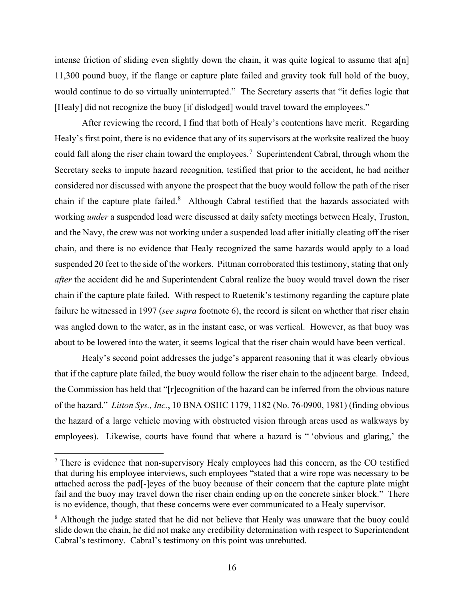intense friction of sliding even slightly down the chain, it was quite logical to assume that  $a[n]$ 11,300 pound buoy, if the flange or capture plate failed and gravity took full hold of the buoy, would continue to do so virtually uninterrupted." The Secretary asserts that "it defies logic that [Healy] did not recognize the buoy [if dislodged] would travel toward the employees."

After reviewing the record, I find that both of Healy's contentions have merit. Regarding Healy's first point, there is no evidence that any of its supervisors at the worksite realized the buoy could fall along the riser chain toward the employees.<sup>[7](#page-15-0)</sup> Superintendent Cabral, through whom the Secretary seeks to impute hazard recognition, testified that prior to the accident, he had neither considered nor discussed with anyone the prospect that the buoy would follow the path of the riser chain if the capture plate failed.<sup>[8](#page-15-1)</sup> Although Cabral testified that the hazards associated with working *under* a suspended load were discussed at daily safety meetings between Healy, Truston, and the Navy, the crew was not working under a suspended load after initially cleating off the riser chain, and there is no evidence that Healy recognized the same hazards would apply to a load suspended 20 feet to the side of the workers. Pittman corroborated this testimony, stating that only *after* the accident did he and Superintendent Cabral realize the buoy would travel down the riser chain if the capture plate failed. With respect to Ruetenik's testimony regarding the capture plate failure he witnessed in 1997 (*see supra* footnote 6), the record is silent on whether that riser chain was angled down to the water, as in the instant case, or was vertical. However, as that buoy was about to be lowered into the water, it seems logical that the riser chain would have been vertical.

Healy's second point addresses the judge's apparent reasoning that it was clearly obvious that if the capture plate failed, the buoy would follow the riser chain to the adjacent barge. Indeed, the Commission has held that "[r]ecognition of the hazard can be inferred from the obvious nature of the hazard." *Litton Sys., Inc.*, 10 BNA OSHC 1179, 1182 (No. 76-0900, 1981) (finding obvious the hazard of a large vehicle moving with obstructed vision through areas used as walkways by employees). Likewise, courts have found that where a hazard is " 'obvious and glaring,' the

<span id="page-15-0"></span> $<sup>7</sup>$  There is evidence that non-supervisory Healy employees had this concern, as the CO testified</sup> that during his employee interviews, such employees "stated that a wire rope was necessary to be attached across the pad[-]eyes of the buoy because of their concern that the capture plate might fail and the buoy may travel down the riser chain ending up on the concrete sinker block." There is no evidence, though, that these concerns were ever communicated to a Healy supervisor.

<span id="page-15-1"></span><sup>&</sup>lt;sup>8</sup> Although the judge stated that he did not believe that Healy was unaware that the buoy could slide down the chain, he did not make any credibility determination with respect to Superintendent Cabral's testimony. Cabral's testimony on this point was unrebutted.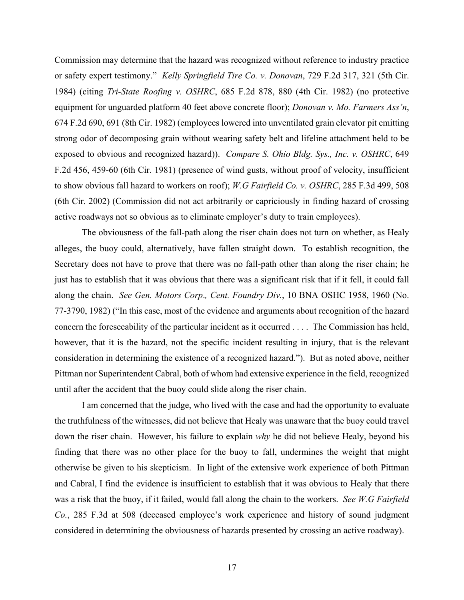Commission may determine that the hazard was recognized without reference to industry practice or safety expert testimony." *Kelly Springfield Tire Co. v. Donovan*, 729 F.2d 317, 321 (5th Cir. 1984) (citing *Tri-State Roofing v. OSHRC*, 685 F.2d 878, 880 (4th Cir. 1982) (no protective equipment for unguarded platform 40 feet above concrete floor); *Donovan v. Mo. Farmers Ass'n*, 674 F.2d 690, 691 (8th Cir. 1982) (employees lowered into unventilated grain elevator pit emitting strong odor of decomposing grain without wearing safety belt and lifeline attachment held to be exposed to obvious and recognized hazard)). *Compare S. Ohio Bldg. Sys., Inc. v. OSHRC*, 649 F.2d 456, 459-60 (6th Cir. 1981) (presence of wind gusts, without proof of velocity, insufficient to show obvious fall hazard to workers on roof); *W.G Fairfield Co. v. OSHRC*, 285 F.3d 499, 508 (6th Cir. 2002) (Commission did not act arbitrarily or capriciously in finding hazard of crossing active roadways not so obvious as to eliminate employer's duty to train employees).

The obviousness of the fall-path along the riser chain does not turn on whether, as Healy alleges, the buoy could, alternatively, have fallen straight down. To establish recognition, the Secretary does not have to prove that there was no fall-path other than along the riser chain; he just has to establish that it was obvious that there was a significant risk that if it fell, it could fall along the chain. *See Gen. Motors Corp*.*, Cent. Foundry Div.*, 10 BNA OSHC 1958, 1960 (No. 77-3790, 1982) ("In this case, most of the evidence and arguments about recognition of the hazard concern the foreseeability of the particular incident as it occurred . . . . The Commission has held, however, that it is the hazard, not the specific incident resulting in injury, that is the relevant consideration in determining the existence of a recognized hazard."). But as noted above, neither Pittman nor Superintendent Cabral, both of whom had extensive experience in the field, recognized until after the accident that the buoy could slide along the riser chain.

I am concerned that the judge, who lived with the case and had the opportunity to evaluate the truthfulness of the witnesses, did not believe that Healy was unaware that the buoy could travel down the riser chain. However, his failure to explain *why* he did not believe Healy, beyond his finding that there was no other place for the buoy to fall, undermines the weight that might otherwise be given to his skepticism. In light of the extensive work experience of both Pittman and Cabral, I find the evidence is insufficient to establish that it was obvious to Healy that there was a risk that the buoy, if it failed, would fall along the chain to the workers. *See W.G Fairfield Co.*, 285 F.3d at 508 (deceased employee's work experience and history of sound judgment considered in determining the obviousness of hazards presented by crossing an active roadway).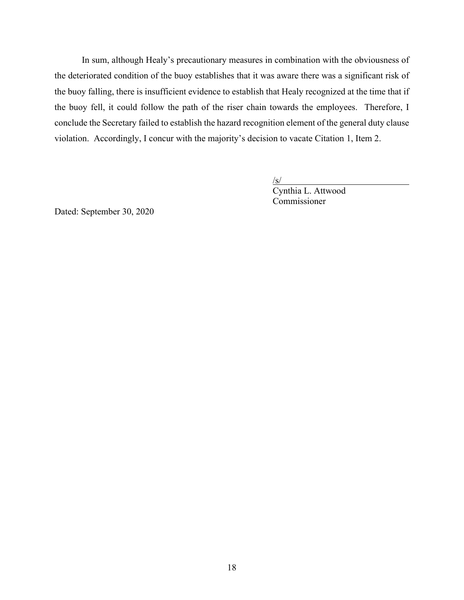In sum, although Healy's precautionary measures in combination with the obviousness of the deteriorated condition of the buoy establishes that it was aware there was a significant risk of the buoy falling, there is insufficient evidence to establish that Healy recognized at the time that if the buoy fell, it could follow the path of the riser chain towards the employees. Therefore, I conclude the Secretary failed to establish the hazard recognition element of the general duty clause violation. Accordingly, I concur with the majority's decision to vacate Citation 1, Item 2.

/s/

Cynthia L. Attwood Commissioner

Dated: September 30, 2020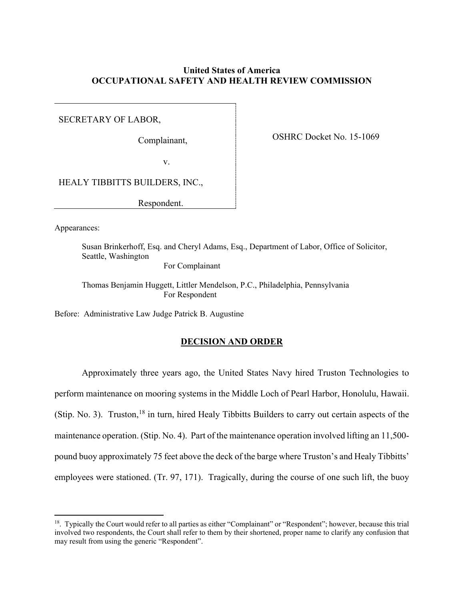# **United States of America OCCUPATIONAL SAFETY AND HEALTH REVIEW COMMISSION**

SECRETARY OF LABOR,

Complainant,

OSHRC Docket No. 15-1069

v.

HEALY TIBBITTS BUILDERS, INC.,

Respondent.

Appearances:

Susan Brinkerhoff, Esq. and Cheryl Adams, Esq., Department of Labor, Office of Solicitor, Seattle, Washington For Complainant

Thomas Benjamin Huggett, Littler Mendelson, P.C., Philadelphia, Pennsylvania For Respondent

Before: Administrative Law Judge Patrick B. Augustine

# **DECISION AND ORDER**

 Approximately three years ago, the United States Navy hired Truston Technologies to perform maintenance on mooring systems in the Middle Loch of Pearl Harbor, Honolulu, Hawaii. (Stip. No. 3). Truston,<sup>[18](#page-18-0)</sup> in turn, hired Healy Tibbitts Builders to carry out certain aspects of the maintenance operation. (Stip. No. 4). Part of the maintenance operation involved lifting an 11,500 pound buoy approximately 75 feet above the deck of the barge where Truston's and Healy Tibbitts' employees were stationed. (Tr. 97, 171). Tragically, during the course of one such lift, the buoy

<span id="page-18-0"></span><sup>&</sup>lt;sup>18</sup>. Typically the Court would refer to all parties as either "Complainant" or "Respondent"; however, because this trial involved two respondents, the Court shall refer to them by their shortened, proper name to clarify any confusion that may result from using the generic "Respondent".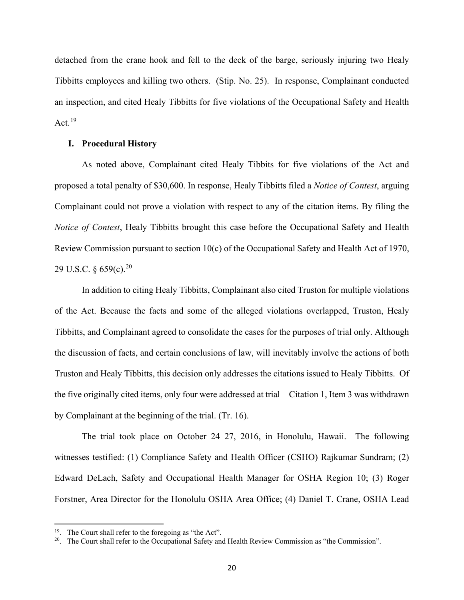detached from the crane hook and fell to the deck of the barge, seriously injuring two Healy Tibbitts employees and killing two others. (Stip. No. 25). In response, Complainant conducted an inspection, and cited Healy Tibbitts for five violations of the Occupational Safety and Health Act.  $19$ 

### **I. Procedural History**

As noted above, Complainant cited Healy Tibbits for five violations of the Act and proposed a total penalty of \$30,600. In response, Healy Tibbitts filed a *Notice of Contest*, arguing Complainant could not prove a violation with respect to any of the citation items. By filing the *Notice of Contest*, Healy Tibbitts brought this case before the Occupational Safety and Health Review Commission pursuant to section 10(c) of the Occupational Safety and Health Act of 1970, 29 U.S.C.  $\frac{6}{9}$  659(c).<sup>[20](#page-19-1)</sup>

In addition to citing Healy Tibbitts, Complainant also cited Truston for multiple violations of the Act. Because the facts and some of the alleged violations overlapped, Truston, Healy Tibbitts, and Complainant agreed to consolidate the cases for the purposes of trial only. Although the discussion of facts, and certain conclusions of law, will inevitably involve the actions of both Truston and Healy Tibbitts, this decision only addresses the citations issued to Healy Tibbitts. Of the five originally cited items, only four were addressed at trial—Citation 1, Item 3 was withdrawn by Complainant at the beginning of the trial. (Tr. 16).

The trial took place on October 24–27, 2016, in Honolulu, Hawaii. The following witnesses testified: (1) Compliance Safety and Health Officer (CSHO) Rajkumar Sundram; (2) Edward DeLach, Safety and Occupational Health Manager for OSHA Region 10; (3) Roger Forstner, Area Director for the Honolulu OSHA Area Office; (4) Daniel T. Crane, OSHA Lead

<span id="page-19-0"></span><sup>&</sup>lt;sup>19</sup>. The Court shall refer to the foregoing as "the Act".

<span id="page-19-1"></span><sup>&</sup>lt;sup>20</sup>. The Court shall refer to the Occupational Safety and Health Review Commission as "the Commission".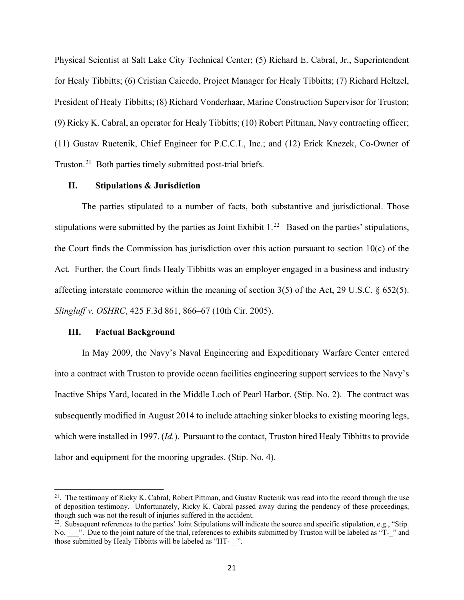Physical Scientist at Salt Lake City Technical Center; (5) Richard E. Cabral, Jr., Superintendent for Healy Tibbitts; (6) Cristian Caicedo, Project Manager for Healy Tibbitts; (7) Richard Heltzel, President of Healy Tibbitts; (8) Richard Vonderhaar, Marine Construction Supervisor for Truston; (9) Ricky K. Cabral, an operator for Healy Tibbitts; (10) Robert Pittman, Navy contracting officer; (11) Gustav Ruetenik, Chief Engineer for P.C.C.I., Inc.; and (12) Erick Knezek, Co-Owner of Truston.[21](#page-20-0) Both parties timely submitted post-trial briefs.

#### **II. Stipulations & Jurisdiction**

The parties stipulated to a number of facts, both substantive and jurisdictional. Those stipulations were submitted by the parties as Joint Exhibit  $1.^{22}$  $1.^{22}$  $1.^{22}$  Based on the parties' stipulations, the Court finds the Commission has jurisdiction over this action pursuant to section 10(c) of the Act. Further, the Court finds Healy Tibbitts was an employer engaged in a business and industry affecting interstate commerce within the meaning of section 3(5) of the Act, 29 U.S.C. § 652(5). *Slingluff v. OSHRC*, 425 F.3d 861, 866–67 (10th Cir. 2005).

#### **III. Factual Background**

In May 2009, the Navy's Naval Engineering and Expeditionary Warfare Center entered into a contract with Truston to provide ocean facilities engineering support services to the Navy's Inactive Ships Yard, located in the Middle Loch of Pearl Harbor. (Stip. No. 2). The contract was subsequently modified in August 2014 to include attaching sinker blocks to existing mooring legs, which were installed in 1997. (*Id.*). Pursuant to the contact, Truston hired Healy Tibbitts to provide labor and equipment for the mooring upgrades. (Stip. No. 4).

<span id="page-20-0"></span> $21$ . The testimony of Ricky K. Cabral, Robert Pittman, and Gustav Ruetenik was read into the record through the use of deposition testimony. Unfortunately, Ricky K. Cabral passed away during the pendency of these proceedings, though such was not the result of injuries suffered in the accident.<br><sup>22</sup>. Subsequent references to the parties' Joint Stipulations will indicate the source and specific stipulation, e.g., "Stip.

<span id="page-20-1"></span>No.  $\blacksquare$ . Due to the joint nature of the trial, references to exhibits submitted by Truston will be labeled as "T- " and those submitted by Healy Tibbitts will be labeled as "HT-\_\_".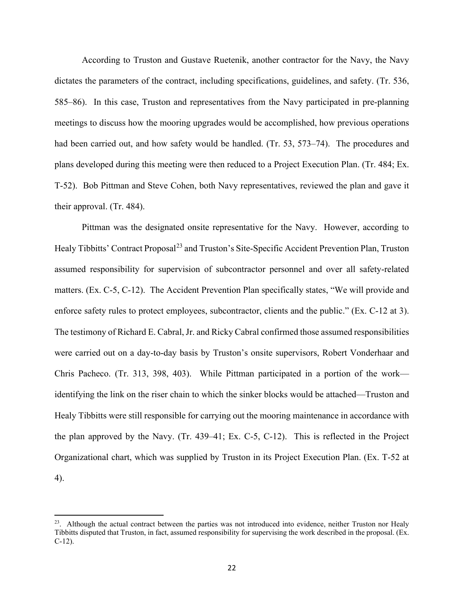According to Truston and Gustave Ruetenik, another contractor for the Navy, the Navy dictates the parameters of the contract, including specifications, guidelines, and safety. (Tr. 536, 585–86). In this case, Truston and representatives from the Navy participated in pre-planning meetings to discuss how the mooring upgrades would be accomplished, how previous operations had been carried out, and how safety would be handled. (Tr. 53, 573–74). The procedures and plans developed during this meeting were then reduced to a Project Execution Plan. (Tr. 484; Ex. T-52). Bob Pittman and Steve Cohen, both Navy representatives, reviewed the plan and gave it their approval. (Tr. 484).

Pittman was the designated onsite representative for the Navy. However, according to Healy Tibbitts' Contract Proposal<sup>23</sup> and Truston's Site-Specific Accident Prevention Plan, Truston assumed responsibility for supervision of subcontractor personnel and over all safety-related matters. (Ex. C-5, C-12). The Accident Prevention Plan specifically states, "We will provide and enforce safety rules to protect employees, subcontractor, clients and the public." (Ex. C-12 at 3). The testimony of Richard E. Cabral, Jr. and Ricky Cabral confirmed those assumed responsibilities were carried out on a day-to-day basis by Truston's onsite supervisors, Robert Vonderhaar and Chris Pacheco. (Tr. 313, 398, 403). While Pittman participated in a portion of the work identifying the link on the riser chain to which the sinker blocks would be attached—Truston and Healy Tibbitts were still responsible for carrying out the mooring maintenance in accordance with the plan approved by the Navy. (Tr. 439–41; Ex. C-5, C-12). This is reflected in the Project Organizational chart, which was supplied by Truston in its Project Execution Plan. (Ex. T-52 at 4).

<span id="page-21-0"></span> $23$ . Although the actual contract between the parties was not introduced into evidence, neither Truston nor Healy Tibbitts disputed that Truston, in fact, assumed responsibility for supervising the work described in the proposal. (Ex. C-12).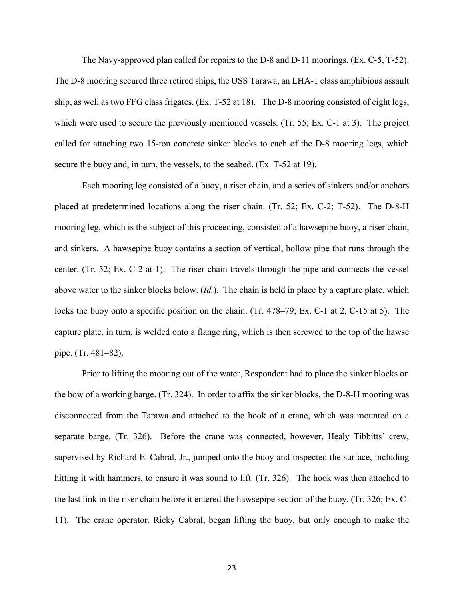The Navy-approved plan called for repairs to the D-8 and D-11 moorings. (Ex. C-5, T-52). The D-8 mooring secured three retired ships, the USS Tarawa, an LHA-1 class amphibious assault ship, as well as two FFG class frigates. (Ex. T-52 at 18). The D-8 mooring consisted of eight legs, which were used to secure the previously mentioned vessels. (Tr. 55; Ex. C-1 at 3). The project called for attaching two 15-ton concrete sinker blocks to each of the D-8 mooring legs, which secure the buoy and, in turn, the vessels, to the seabed. (Ex. T-52 at 19).

Each mooring leg consisted of a buoy, a riser chain, and a series of sinkers and/or anchors placed at predetermined locations along the riser chain. (Tr. 52; Ex. C-2; T-52). The D-8-H mooring leg, which is the subject of this proceeding, consisted of a hawsepipe buoy, a riser chain, and sinkers. A hawsepipe buoy contains a section of vertical, hollow pipe that runs through the center. (Tr. 52; Ex. C-2 at 1). The riser chain travels through the pipe and connects the vessel above water to the sinker blocks below. (*Id.*). The chain is held in place by a capture plate, which locks the buoy onto a specific position on the chain. (Tr. 478–79; Ex. C-1 at 2, C-15 at 5). The capture plate, in turn, is welded onto a flange ring, which is then screwed to the top of the hawse pipe. (Tr. 481–82).

Prior to lifting the mooring out of the water, Respondent had to place the sinker blocks on the bow of a working barge. (Tr. 324). In order to affix the sinker blocks, the D-8-H mooring was disconnected from the Tarawa and attached to the hook of a crane, which was mounted on a separate barge. (Tr. 326). Before the crane was connected, however, Healy Tibbitts' crew, supervised by Richard E. Cabral, Jr., jumped onto the buoy and inspected the surface, including hitting it with hammers, to ensure it was sound to lift. (Tr. 326). The hook was then attached to the last link in the riser chain before it entered the hawsepipe section of the buoy. (Tr. 326; Ex. C-11). The crane operator, Ricky Cabral, began lifting the buoy, but only enough to make the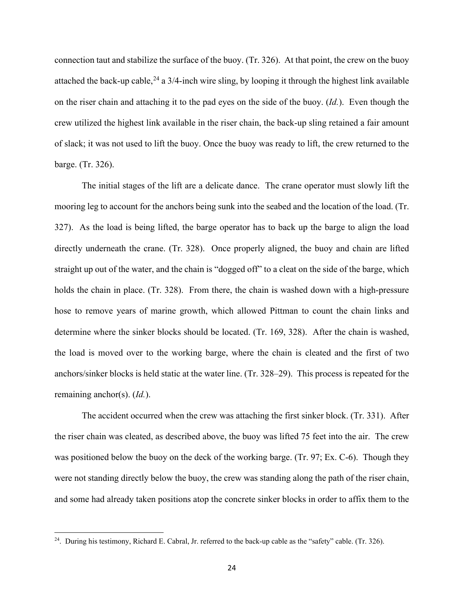connection taut and stabilize the surface of the buoy. (Tr. 326). At that point, the crew on the buoy attached the back-up cable,  $^{24}$  $^{24}$  $^{24}$  a 3/4-inch wire sling, by looping it through the highest link available on the riser chain and attaching it to the pad eyes on the side of the buoy. (*Id.*). Even though the crew utilized the highest link available in the riser chain, the back-up sling retained a fair amount of slack; it was not used to lift the buoy. Once the buoy was ready to lift, the crew returned to the barge. (Tr. 326).

The initial stages of the lift are a delicate dance. The crane operator must slowly lift the mooring leg to account for the anchors being sunk into the seabed and the location of the load. (Tr. 327). As the load is being lifted, the barge operator has to back up the barge to align the load directly underneath the crane. (Tr. 328). Once properly aligned, the buoy and chain are lifted straight up out of the water, and the chain is "dogged off" to a cleat on the side of the barge, which holds the chain in place. (Tr. 328). From there, the chain is washed down with a high-pressure hose to remove years of marine growth, which allowed Pittman to count the chain links and determine where the sinker blocks should be located. (Tr. 169, 328). After the chain is washed, the load is moved over to the working barge, where the chain is cleated and the first of two anchors/sinker blocks is held static at the water line. (Tr. 328–29). This process is repeated for the remaining anchor(s). (*Id.*).

The accident occurred when the crew was attaching the first sinker block. (Tr. 331). After the riser chain was cleated, as described above, the buoy was lifted 75 feet into the air. The crew was positioned below the buoy on the deck of the working barge. (Tr. 97; Ex. C-6). Though they were not standing directly below the buoy, the crew was standing along the path of the riser chain, and some had already taken positions atop the concrete sinker blocks in order to affix them to the

<span id="page-23-0"></span><sup>&</sup>lt;sup>24</sup>. During his testimony, Richard E. Cabral, Jr. referred to the back-up cable as the "safety" cable. (Tr. 326).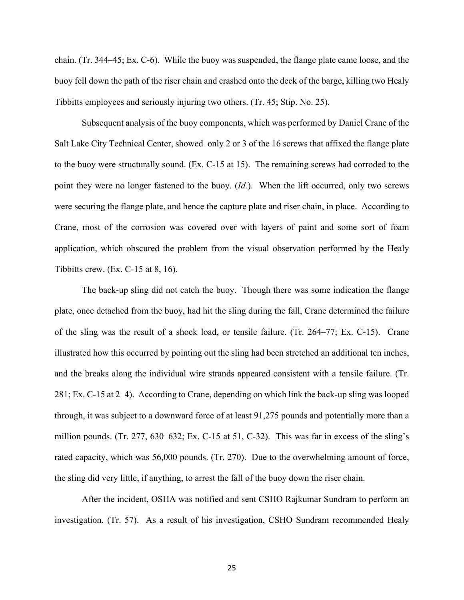chain. (Tr. 344–45; Ex. C-6). While the buoy was suspended, the flange plate came loose, and the buoy fell down the path of the riser chain and crashed onto the deck of the barge, killing two Healy Tibbitts employees and seriously injuring two others. (Tr. 45; Stip. No. 25).

Subsequent analysis of the buoy components, which was performed by Daniel Crane of the Salt Lake City Technical Center, showed only 2 or 3 of the 16 screws that affixed the flange plate to the buoy were structurally sound. (Ex. C-15 at 15). The remaining screws had corroded to the point they were no longer fastened to the buoy. (*Id.*). When the lift occurred, only two screws were securing the flange plate, and hence the capture plate and riser chain, in place. According to Crane, most of the corrosion was covered over with layers of paint and some sort of foam application, which obscured the problem from the visual observation performed by the Healy Tibbitts crew. (Ex. C-15 at 8, 16).

The back-up sling did not catch the buoy. Though there was some indication the flange plate, once detached from the buoy, had hit the sling during the fall, Crane determined the failure of the sling was the result of a shock load, or tensile failure. (Tr. 264–77; Ex. C-15). Crane illustrated how this occurred by pointing out the sling had been stretched an additional ten inches, and the breaks along the individual wire strands appeared consistent with a tensile failure. (Tr. 281; Ex. C-15 at 2–4). According to Crane, depending on which link the back-up sling was looped through, it was subject to a downward force of at least 91,275 pounds and potentially more than a million pounds. (Tr. 277, 630–632; Ex. C-15 at 51, C-32). This was far in excess of the sling's rated capacity, which was 56,000 pounds. (Tr. 270). Due to the overwhelming amount of force, the sling did very little, if anything, to arrest the fall of the buoy down the riser chain.

After the incident, OSHA was notified and sent CSHO Rajkumar Sundram to perform an investigation. (Tr. 57). As a result of his investigation, CSHO Sundram recommended Healy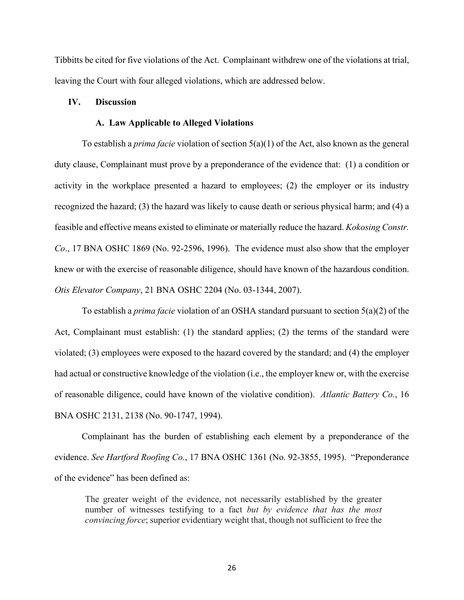Tibbitts be cited for five violations of the Act. Complainant withdrew one of the violations at trial, leaving the Court with four alleged violations, which are addressed below.

# **IV. Discussion**

#### **A. Law Applicable to Alleged Violations**

To establish a *prima facie* violation of section 5(a)(1) of the Act, also known as the general duty clause, Complainant must prove by a preponderance of the evidence that: (1) a condition or activity in the workplace presented a hazard to employees; (2) the employer or its industry recognized the hazard; (3) the hazard was likely to cause death or serious physical harm; and (4) a feasible and effective means existed to eliminate or materially reduce the hazard. *Kokosing Constr. Co*., 17 BNA OSHC 1869 (No. 92-2596, 1996). The evidence must also show that the employer knew or with the exercise of reasonable diligence, should have known of the hazardous condition. *Otis Elevator Company*, 21 BNA OSHC 2204 (No. 03-1344, 2007).

To establish a *prima facie* violation of an OSHA standard pursuant to section 5(a)(2) of the Act, Complainant must establish: (1) the standard applies; (2) the terms of the standard were violated; (3) employees were exposed to the hazard covered by the standard; and (4) the employer had actual or constructive knowledge of the violation (i.e., the employer knew or, with the exercise of reasonable diligence, could have known of the violative condition). *Atlantic Battery Co.*, 16 BNA OSHC 2131, 2138 (No. 90-1747, 1994).

Complainant has the burden of establishing each element by a preponderance of the evidence. *See Hartford Roofing Co.*, 17 BNA OSHC 1361 (No. 92-3855, 1995). "Preponderance of the evidence" has been defined as:

The greater weight of the evidence, not necessarily established by the greater number of witnesses testifying to a fact *but by evidence that has the most convincing force*; superior evidentiary weight that, though not sufficient to free the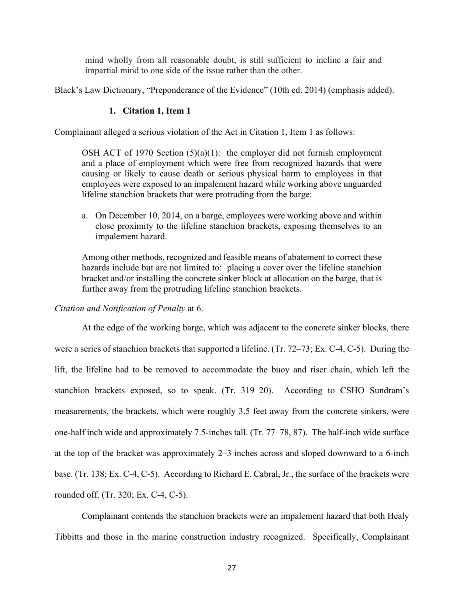mind wholly from all reasonable doubt, is still sufficient to incline a fair and impartial mind to one side of the issue rather than the other.

Black's Law Dictionary, "Preponderance of the Evidence" (10th ed. 2014) (emphasis added).

### **1. Citation 1, Item 1**

Complainant alleged a serious violation of the Act in Citation 1, Item 1 as follows:

OSH ACT of 1970 Section  $(5)(a)(1)$ : the employer did not furnish employment and a place of employment which were free from recognized hazards that were causing or likely to cause death or serious physical harm to employees in that employees were exposed to an impalement hazard while working above unguarded lifeline stanchion brackets that were protruding from the barge:

a. On December 10, 2014, on a barge, employees were working above and within close proximity to the lifeline stanchion brackets, exposing themselves to an impalement hazard.

Among other methods, recognized and feasible means of abatement to correct these hazards include but are not limited to: placing a cover over the lifeline stanchion bracket and/or installing the concrete sinker block at allocation on the barge, that is further away from the protruding lifeline stanchion brackets.

### *Citation and Notification of Penalty* at 6.

At the edge of the working barge, which was adjacent to the concrete sinker blocks, there were a series of stanchion brackets that supported a lifeline. (Tr. 72–73; Ex. C-4, C-5). During the lift, the lifeline had to be removed to accommodate the buoy and riser chain, which left the stanchion brackets exposed, so to speak. (Tr. 319–20). According to CSHO Sundram's measurements, the brackets, which were roughly 3.5 feet away from the concrete sinkers, were one-half inch wide and approximately 7.5-inches tall. (Tr. 77–78, 87). The half-inch wide surface at the top of the bracket was approximately 2–3 inches across and sloped downward to a 6-inch base. (Tr. 138; Ex. C-4, C-5). According to Richard E. Cabral, Jr., the surface of the brackets were rounded off. (Tr. 320; Ex. C-4, C-5).

Complainant contends the stanchion brackets were an impalement hazard that both Healy Tibbitts and those in the marine construction industry recognized. Specifically, Complainant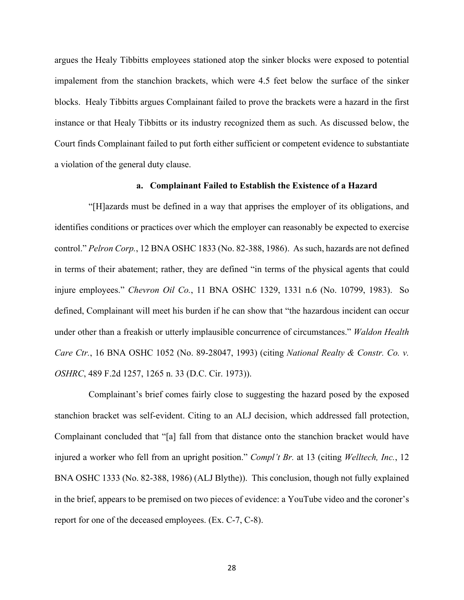argues the Healy Tibbitts employees stationed atop the sinker blocks were exposed to potential impalement from the stanchion brackets, which were 4.5 feet below the surface of the sinker blocks. Healy Tibbitts argues Complainant failed to prove the brackets were a hazard in the first instance or that Healy Tibbitts or its industry recognized them as such. As discussed below, the Court finds Complainant failed to put forth either sufficient or competent evidence to substantiate a violation of the general duty clause.

#### **a. Complainant Failed to Establish the Existence of a Hazard**

"[H]azards must be defined in a way that apprises the employer of its obligations, and identifies conditions or practices over which the employer can reasonably be expected to exercise control." *Pelron Corp.*, 12 BNA OSHC 1833 (No. 82-388, 1986). As such, hazards are not defined in terms of their abatement; rather, they are defined "in terms of the physical agents that could injure employees." *Chevron Oil Co.*, 11 BNA OSHC 1329, 1331 n.6 (No. 10799, 1983). So defined, Complainant will meet his burden if he can show that "the hazardous incident can occur under other than a freakish or utterly implausible concurrence of circumstances." *Waldon Health Care Ctr.*, 16 BNA OSHC 1052 (No. 89-28047, 1993) (citing *National Realty & Constr. Co. v. OSHRC*, 489 F.2d 1257, 1265 n. 33 (D.C. Cir. 1973)).

Complainant's brief comes fairly close to suggesting the hazard posed by the exposed stanchion bracket was self-evident. Citing to an ALJ decision, which addressed fall protection, Complainant concluded that "[a] fall from that distance onto the stanchion bracket would have injured a worker who fell from an upright position." *Compl't Br.* at 13 (citing *Welltech, Inc.*, 12 BNA OSHC 1333 (No. 82-388, 1986) (ALJ Blythe)). This conclusion, though not fully explained in the brief, appears to be premised on two pieces of evidence: a YouTube video and the coroner's report for one of the deceased employees. (Ex. C-7, C-8).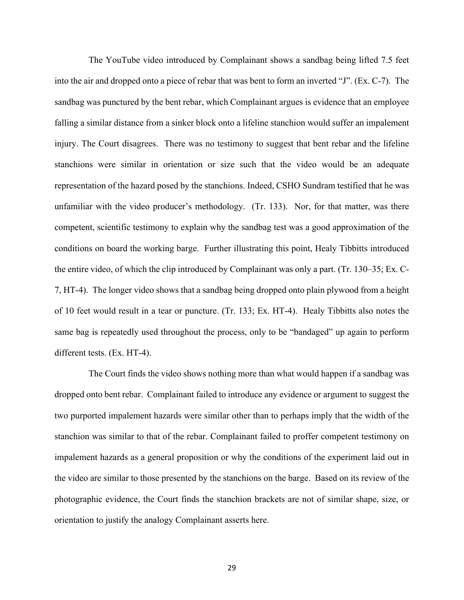The YouTube video introduced by Complainant shows a sandbag being lifted 7.5 feet into the air and dropped onto a piece of rebar that was bent to form an inverted "J". (Ex. C-7). The sandbag was punctured by the bent rebar, which Complainant argues is evidence that an employee falling a similar distance from a sinker block onto a lifeline stanchion would suffer an impalement injury. The Court disagrees. There was no testimony to suggest that bent rebar and the lifeline stanchions were similar in orientation or size such that the video would be an adequate representation of the hazard posed by the stanchions. Indeed, CSHO Sundram testified that he was unfamiliar with the video producer's methodology. (Tr. 133). Nor, for that matter, was there competent, scientific testimony to explain why the sandbag test was a good approximation of the conditions on board the working barge. Further illustrating this point, Healy Tibbitts introduced the entire video, of which the clip introduced by Complainant was only a part. (Tr. 130–35; Ex. C-7, HT-4). The longer video shows that a sandbag being dropped onto plain plywood from a height of 10 feet would result in a tear or puncture. (Tr. 133; Ex. HT-4). Healy Tibbitts also notes the same bag is repeatedly used throughout the process, only to be "bandaged" up again to perform different tests. (Ex. HT-4).

The Court finds the video shows nothing more than what would happen if a sandbag was dropped onto bent rebar. Complainant failed to introduce any evidence or argument to suggest the two purported impalement hazards were similar other than to perhaps imply that the width of the stanchion was similar to that of the rebar. Complainant failed to proffer competent testimony on impalement hazards as a general proposition or why the conditions of the experiment laid out in the video are similar to those presented by the stanchions on the barge. Based on its review of the photographic evidence, the Court finds the stanchion brackets are not of similar shape, size, or orientation to justify the analogy Complainant asserts here.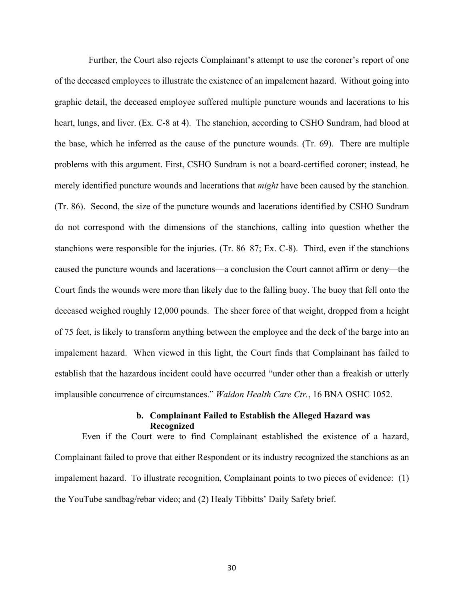Further, the Court also rejects Complainant's attempt to use the coroner's report of one of the deceased employees to illustrate the existence of an impalement hazard. Without going into graphic detail, the deceased employee suffered multiple puncture wounds and lacerations to his heart, lungs, and liver. (Ex. C-8 at 4). The stanchion, according to CSHO Sundram, had blood at the base, which he inferred as the cause of the puncture wounds. (Tr. 69). There are multiple problems with this argument. First, CSHO Sundram is not a board-certified coroner; instead, he merely identified puncture wounds and lacerations that *might* have been caused by the stanchion. (Tr. 86). Second, the size of the puncture wounds and lacerations identified by CSHO Sundram do not correspond with the dimensions of the stanchions, calling into question whether the stanchions were responsible for the injuries. (Tr. 86–87; Ex. C-8). Third, even if the stanchions caused the puncture wounds and lacerations—a conclusion the Court cannot affirm or deny—the Court finds the wounds were more than likely due to the falling buoy. The buoy that fell onto the deceased weighed roughly 12,000 pounds. The sheer force of that weight, dropped from a height of 75 feet, is likely to transform anything between the employee and the deck of the barge into an impalement hazard. When viewed in this light, the Court finds that Complainant has failed to establish that the hazardous incident could have occurred "under other than a freakish or utterly implausible concurrence of circumstances." *Waldon Health Care Ctr.*, 16 BNA OSHC 1052.

# **b. Complainant Failed to Establish the Alleged Hazard was Recognized**

Even if the Court were to find Complainant established the existence of a hazard, Complainant failed to prove that either Respondent or its industry recognized the stanchions as an impalement hazard. To illustrate recognition, Complainant points to two pieces of evidence: (1) the YouTube sandbag/rebar video; and (2) Healy Tibbitts' Daily Safety brief.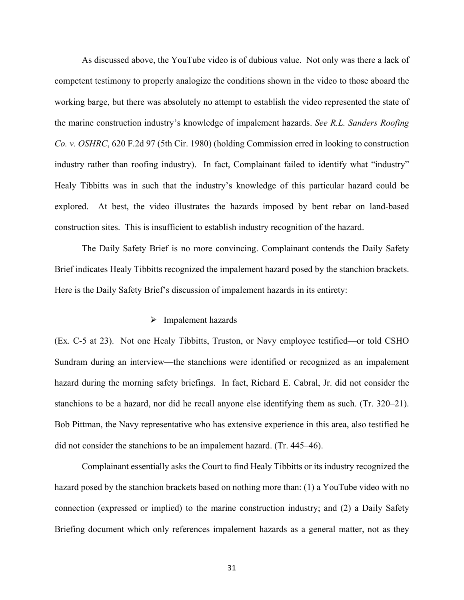As discussed above, the YouTube video is of dubious value. Not only was there a lack of competent testimony to properly analogize the conditions shown in the video to those aboard the working barge, but there was absolutely no attempt to establish the video represented the state of the marine construction industry's knowledge of impalement hazards. *See R.L. Sanders Roofing Co. v. OSHRC*, 620 F.2d 97 (5th Cir. 1980) (holding Commission erred in looking to construction industry rather than roofing industry). In fact, Complainant failed to identify what "industry" Healy Tibbitts was in such that the industry's knowledge of this particular hazard could be explored. At best, the video illustrates the hazards imposed by bent rebar on land-based construction sites. This is insufficient to establish industry recognition of the hazard.

The Daily Safety Brief is no more convincing. Complainant contends the Daily Safety Brief indicates Healy Tibbitts recognized the impalement hazard posed by the stanchion brackets. Here is the Daily Safety Brief's discussion of impalement hazards in its entirety:

### $\triangleright$  Impalement hazards

(Ex. C-5 at 23). Not one Healy Tibbitts, Truston, or Navy employee testified—or told CSHO Sundram during an interview—the stanchions were identified or recognized as an impalement hazard during the morning safety briefings. In fact, Richard E. Cabral, Jr. did not consider the stanchions to be a hazard, nor did he recall anyone else identifying them as such. (Tr. 320–21). Bob Pittman, the Navy representative who has extensive experience in this area, also testified he did not consider the stanchions to be an impalement hazard. (Tr. 445–46).

Complainant essentially asks the Court to find Healy Tibbitts or its industry recognized the hazard posed by the stanchion brackets based on nothing more than: (1) a YouTube video with no connection (expressed or implied) to the marine construction industry; and (2) a Daily Safety Briefing document which only references impalement hazards as a general matter, not as they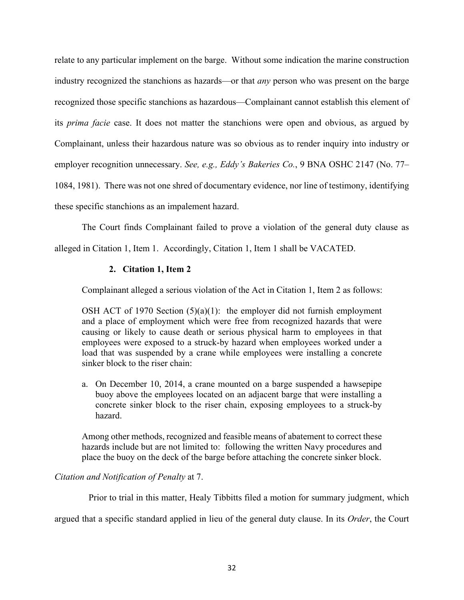relate to any particular implement on the barge. Without some indication the marine construction industry recognized the stanchions as hazards—or that *any* person who was present on the barge recognized those specific stanchions as hazardous—Complainant cannot establish this element of its *prima facie* case. It does not matter the stanchions were open and obvious, as argued by Complainant, unless their hazardous nature was so obvious as to render inquiry into industry or employer recognition unnecessary. *See, e.g., Eddy's Bakeries Co.*, 9 BNA OSHC 2147 (No. 77– 1084, 1981). There was not one shred of documentary evidence, nor line of testimony, identifying these specific stanchions as an impalement hazard.

The Court finds Complainant failed to prove a violation of the general duty clause as alleged in Citation 1, Item 1. Accordingly, Citation 1, Item 1 shall be VACATED.

# **2. Citation 1, Item 2**

Complainant alleged a serious violation of the Act in Citation 1, Item 2 as follows:

OSH ACT of 1970 Section  $(5)(a)(1)$ : the employer did not furnish employment and a place of employment which were free from recognized hazards that were causing or likely to cause death or serious physical harm to employees in that employees were exposed to a struck-by hazard when employees worked under a load that was suspended by a crane while employees were installing a concrete sinker block to the riser chain:

a. On December 10, 2014, a crane mounted on a barge suspended a hawsepipe buoy above the employees located on an adjacent barge that were installing a concrete sinker block to the riser chain, exposing employees to a struck-by hazard.

Among other methods, recognized and feasible means of abatement to correct these hazards include but are not limited to: following the written Navy procedures and place the buoy on the deck of the barge before attaching the concrete sinker block.

# *Citation and Notification of Penalty* at 7.

Prior to trial in this matter, Healy Tibbitts filed a motion for summary judgment, which

argued that a specific standard applied in lieu of the general duty clause. In its *Order*, the Court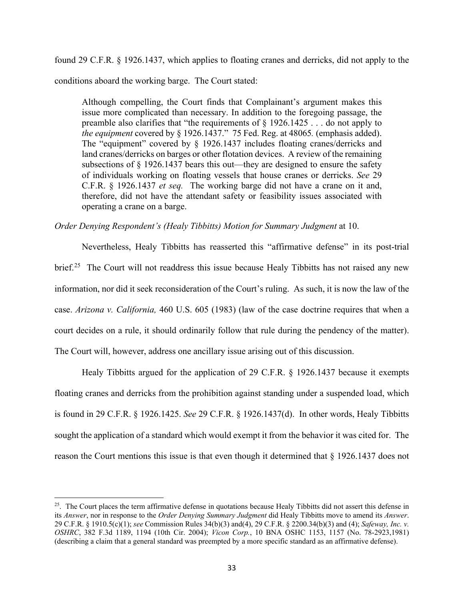found 29 C.F.R. § 1926.1437, which applies to floating cranes and derricks, did not apply to the conditions aboard the working barge. The Court stated:

Although compelling, the Court finds that Complainant's argument makes this issue more complicated than necessary. In addition to the foregoing passage, the preamble also clarifies that "the requirements of § 1926.1425 . . . do not apply to *the equipment* covered by § 1926.1437." 75 Fed. Reg. at 48065*.* (emphasis added). The "equipment" covered by § 1926.1437 includes floating cranes/derricks and land cranes/derricks on barges or other flotation devices. A review of the remaining subsections of § 1926.1437 bears this out—they are designed to ensure the safety of individuals working on floating vessels that house cranes or derricks. *See* 29 C.F.R. § 1926.1437 *et seq.* The working barge did not have a crane on it and, therefore, did not have the attendant safety or feasibility issues associated with operating a crane on a barge.

### *Order Denying Respondent's (Healy Tibbitts) Motion for Summary Judgment* at 10.

Nevertheless, Healy Tibbitts has reasserted this "affirmative defense" in its post-trial brief.<sup>[25](#page-32-0)</sup> The Court will not readdress this issue because Healy Tibbitts has not raised any new information, nor did it seek reconsideration of the Court's ruling. As such, it is now the law of the case. *Arizona v. California,* 460 U.S. 605 (1983) (law of the case doctrine requires that when a court decides on a rule, it should ordinarily follow that rule during the pendency of the matter). The Court will, however, address one ancillary issue arising out of this discussion.

Healy Tibbitts argued for the application of 29 C.F.R. § 1926.1437 because it exempts floating cranes and derricks from the prohibition against standing under a suspended load, which is found in 29 C.F.R. § 1926.1425. *See* 29 C.F.R. § 1926.1437(d). In other words, Healy Tibbitts sought the application of a standard which would exempt it from the behavior it was cited for. The reason the Court mentions this issue is that even though it determined that § 1926.1437 does not

<span id="page-32-0"></span><sup>&</sup>lt;sup>25</sup>. The Court places the term affirmative defense in quotations because Healy Tibbitts did not assert this defense in its *Answer*, nor in response to the *Order Denying Summary Judgment* did Healy Tibbitts move to amend its *Answer*. 29 C.F.R. § 1910.5(c)(1); *see* Commission Rules 34(b)(3) and(4), 29 C.F.R. § 2200.34(b)(3) and (4); *Safeway, Inc. v. OSHRC*, 382 F.3d 1189, 1194 (10th Cir. 2004); *Vicon Corp.*, 10 BNA OSHC 1153, 1157 (No. 78-2923,1981) (describing a claim that a general standard was preempted by a more specific standard as an affirmative defense).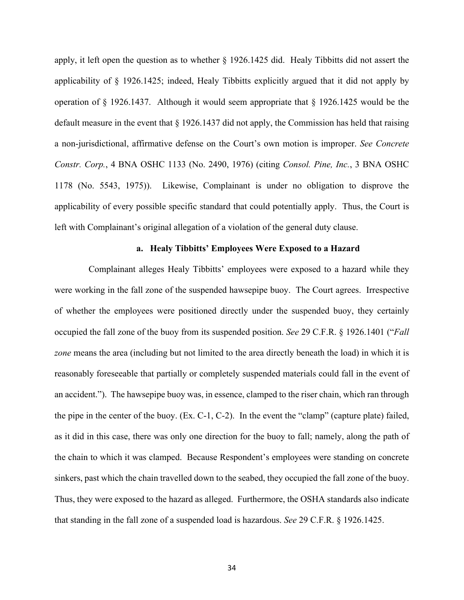apply, it left open the question as to whether § 1926.1425 did. Healy Tibbitts did not assert the applicability of § 1926.1425; indeed, Healy Tibbitts explicitly argued that it did not apply by operation of § 1926.1437. Although it would seem appropriate that § 1926.1425 would be the default measure in the event that § 1926.1437 did not apply, the Commission has held that raising a non-jurisdictional, affirmative defense on the Court's own motion is improper. *See Concrete Constr. Corp.*, 4 BNA OSHC 1133 (No. 2490, 1976) (citing *Consol. Pine, Inc.*, 3 BNA OSHC 1178 (No. 5543, 1975)). Likewise, Complainant is under no obligation to disprove the applicability of every possible specific standard that could potentially apply. Thus, the Court is left with Complainant's original allegation of a violation of the general duty clause.

### **a. Healy Tibbitts' Employees Were Exposed to a Hazard**

Complainant alleges Healy Tibbitts' employees were exposed to a hazard while they were working in the fall zone of the suspended hawsepipe buoy. The Court agrees. Irrespective of whether the employees were positioned directly under the suspended buoy, they certainly occupied the fall zone of the buoy from its suspended position. *See* 29 C.F.R. § 1926.1401 ("*Fall zone* means the area (including but not limited to the area directly beneath the load) in which it is reasonably foreseeable that partially or completely suspended materials could fall in the event of an accident."). The hawsepipe buoy was, in essence, clamped to the riser chain, which ran through the pipe in the center of the buoy. (Ex. C-1, C-2). In the event the "clamp" (capture plate) failed, as it did in this case, there was only one direction for the buoy to fall; namely, along the path of the chain to which it was clamped. Because Respondent's employees were standing on concrete sinkers, past which the chain travelled down to the seabed, they occupied the fall zone of the buoy. Thus, they were exposed to the hazard as alleged. Furthermore, the OSHA standards also indicate that standing in the fall zone of a suspended load is hazardous. *See* 29 C.F.R. § 1926.1425.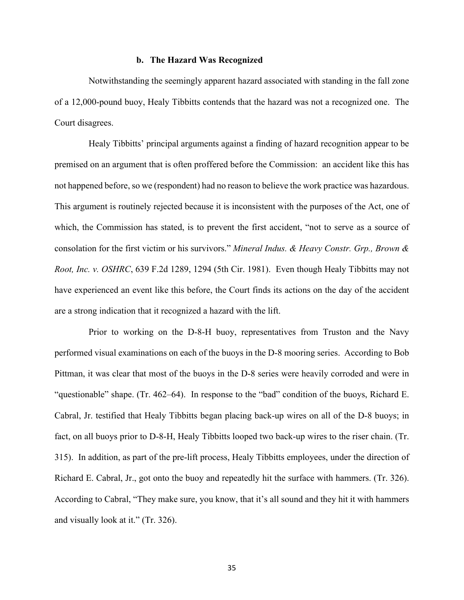# **b. The Hazard Was Recognized**

Notwithstanding the seemingly apparent hazard associated with standing in the fall zone of a 12,000-pound buoy, Healy Tibbitts contends that the hazard was not a recognized one. The Court disagrees.

Healy Tibbitts' principal arguments against a finding of hazard recognition appear to be premised on an argument that is often proffered before the Commission: an accident like this has not happened before, so we (respondent) had no reason to believe the work practice was hazardous. This argument is routinely rejected because it is inconsistent with the purposes of the Act, one of which, the Commission has stated, is to prevent the first accident, "not to serve as a source of consolation for the first victim or his survivors." *Mineral Indus. & Heavy Constr. Grp., Brown & Root, Inc. v. OSHRC*, 639 F.2d 1289, 1294 (5th Cir. 1981). Even though Healy Tibbitts may not have experienced an event like this before, the Court finds its actions on the day of the accident are a strong indication that it recognized a hazard with the lift.

Prior to working on the D-8-H buoy, representatives from Truston and the Navy performed visual examinations on each of the buoys in the D-8 mooring series. According to Bob Pittman, it was clear that most of the buoys in the D-8 series were heavily corroded and were in "questionable" shape. (Tr. 462–64). In response to the "bad" condition of the buoys, Richard E. Cabral, Jr. testified that Healy Tibbitts began placing back-up wires on all of the D-8 buoys; in fact, on all buoys prior to D-8-H, Healy Tibbitts looped two back-up wires to the riser chain. (Tr. 315). In addition, as part of the pre-lift process, Healy Tibbitts employees, under the direction of Richard E. Cabral, Jr., got onto the buoy and repeatedly hit the surface with hammers. (Tr. 326). According to Cabral, "They make sure, you know, that it's all sound and they hit it with hammers and visually look at it." (Tr. 326).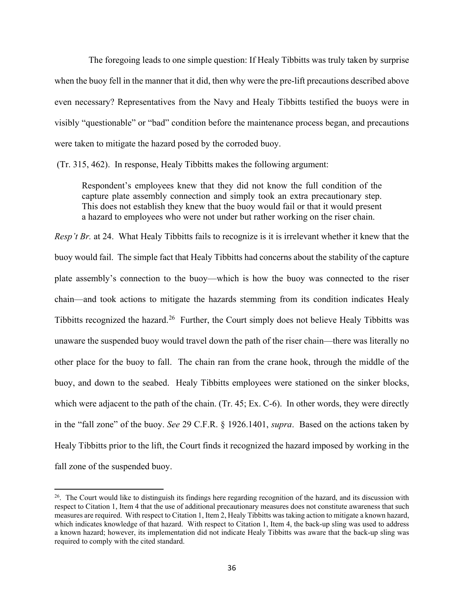The foregoing leads to one simple question: If Healy Tibbitts was truly taken by surprise when the buoy fell in the manner that it did, then why were the pre-lift precautions described above even necessary? Representatives from the Navy and Healy Tibbitts testified the buoys were in visibly "questionable" or "bad" condition before the maintenance process began, and precautions were taken to mitigate the hazard posed by the corroded buoy.

(Tr. 315, 462). In response, Healy Tibbitts makes the following argument:

Respondent's employees knew that they did not know the full condition of the capture plate assembly connection and simply took an extra precautionary step. This does not establish they knew that the buoy would fail or that it would present a hazard to employees who were not under but rather working on the riser chain.

*Resp't Br.* at 24. What Healy Tibbitts fails to recognize is it is irrelevant whether it knew that the buoy would fail. The simple fact that Healy Tibbitts had concerns about the stability of the capture plate assembly's connection to the buoy—which is how the buoy was connected to the riser chain—and took actions to mitigate the hazards stemming from its condition indicates Healy Tibbitts recognized the hazard.[26](#page-35-0) Further, the Court simply does not believe Healy Tibbitts was unaware the suspended buoy would travel down the path of the riser chain—there was literally no other place for the buoy to fall. The chain ran from the crane hook, through the middle of the buoy, and down to the seabed. Healy Tibbitts employees were stationed on the sinker blocks, which were adjacent to the path of the chain. (Tr. 45; Ex. C-6). In other words, they were directly in the "fall zone" of the buoy. *See* 29 C.F.R. § 1926.1401, *supra*. Based on the actions taken by Healy Tibbitts prior to the lift, the Court finds it recognized the hazard imposed by working in the fall zone of the suspended buoy.

<span id="page-35-0"></span> $26$ . The Court would like to distinguish its findings here regarding recognition of the hazard, and its discussion with respect to Citation 1, Item 4 that the use of additional precautionary measures does not constitute awareness that such measures are required. With respect to Citation 1, Item 2, Healy Tibbitts was taking action to mitigate a known hazard, which indicates knowledge of that hazard. With respect to Citation 1, Item 4, the back-up sling was used to address a known hazard; however, its implementation did not indicate Healy Tibbitts was aware that the back-up sling was required to comply with the cited standard.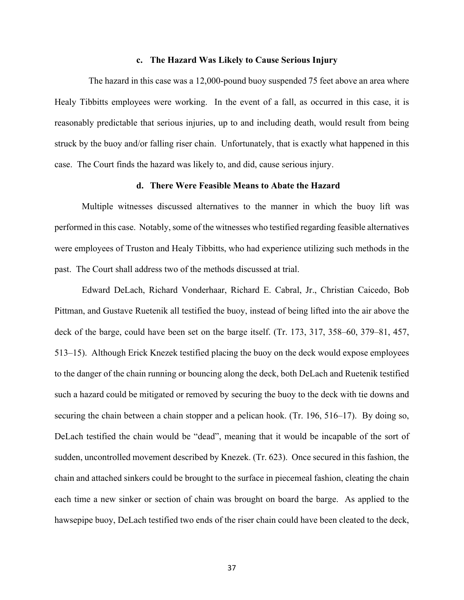#### **c. The Hazard Was Likely to Cause Serious Injury**

The hazard in this case was a 12,000-pound buoy suspended 75 feet above an area where Healy Tibbitts employees were working. In the event of a fall, as occurred in this case, it is reasonably predictable that serious injuries, up to and including death, would result from being struck by the buoy and/or falling riser chain. Unfortunately, that is exactly what happened in this case. The Court finds the hazard was likely to, and did, cause serious injury.

#### **d. There Were Feasible Means to Abate the Hazard**

Multiple witnesses discussed alternatives to the manner in which the buoy lift was performed in this case. Notably, some of the witnesses who testified regarding feasible alternatives were employees of Truston and Healy Tibbitts, who had experience utilizing such methods in the past. The Court shall address two of the methods discussed at trial.

Edward DeLach, Richard Vonderhaar, Richard E. Cabral, Jr., Christian Caicedo, Bob Pittman, and Gustave Ruetenik all testified the buoy, instead of being lifted into the air above the deck of the barge, could have been set on the barge itself. (Tr. 173, 317, 358–60, 379–81, 457, 513–15). Although Erick Knezek testified placing the buoy on the deck would expose employees to the danger of the chain running or bouncing along the deck, both DeLach and Ruetenik testified such a hazard could be mitigated or removed by securing the buoy to the deck with tie downs and securing the chain between a chain stopper and a pelican hook. (Tr. 196, 516–17). By doing so, DeLach testified the chain would be "dead", meaning that it would be incapable of the sort of sudden, uncontrolled movement described by Knezek. (Tr. 623). Once secured in this fashion, the chain and attached sinkers could be brought to the surface in piecemeal fashion, cleating the chain each time a new sinker or section of chain was brought on board the barge. As applied to the hawsepipe buoy, DeLach testified two ends of the riser chain could have been cleated to the deck,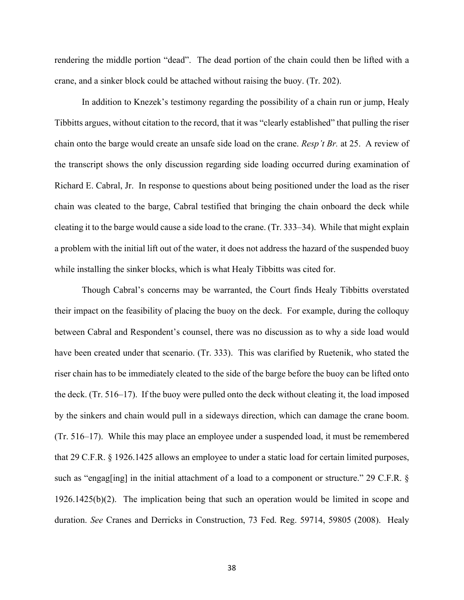rendering the middle portion "dead". The dead portion of the chain could then be lifted with a crane, and a sinker block could be attached without raising the buoy. (Tr. 202).

In addition to Knezek's testimony regarding the possibility of a chain run or jump, Healy Tibbitts argues, without citation to the record, that it was "clearly established" that pulling the riser chain onto the barge would create an unsafe side load on the crane. *Resp't Br.* at 25. A review of the transcript shows the only discussion regarding side loading occurred during examination of Richard E. Cabral, Jr. In response to questions about being positioned under the load as the riser chain was cleated to the barge, Cabral testified that bringing the chain onboard the deck while cleating it to the barge would cause a side load to the crane. (Tr. 333–34). While that might explain a problem with the initial lift out of the water, it does not address the hazard of the suspended buoy while installing the sinker blocks, which is what Healy Tibbitts was cited for.

Though Cabral's concerns may be warranted, the Court finds Healy Tibbitts overstated their impact on the feasibility of placing the buoy on the deck. For example, during the colloquy between Cabral and Respondent's counsel, there was no discussion as to why a side load would have been created under that scenario. (Tr. 333). This was clarified by Ruetenik, who stated the riser chain has to be immediately cleated to the side of the barge before the buoy can be lifted onto the deck. (Tr. 516–17). If the buoy were pulled onto the deck without cleating it, the load imposed by the sinkers and chain would pull in a sideways direction, which can damage the crane boom. (Tr. 516–17). While this may place an employee under a suspended load, it must be remembered that 29 C.F.R. § 1926.1425 allows an employee to under a static load for certain limited purposes, such as "engag[ing] in the initial attachment of a load to a component or structure." 29 C.F.R. § 1926.1425(b)(2). The implication being that such an operation would be limited in scope and duration. *See* Cranes and Derricks in Construction, 73 Fed. Reg. 59714, 59805 (2008). Healy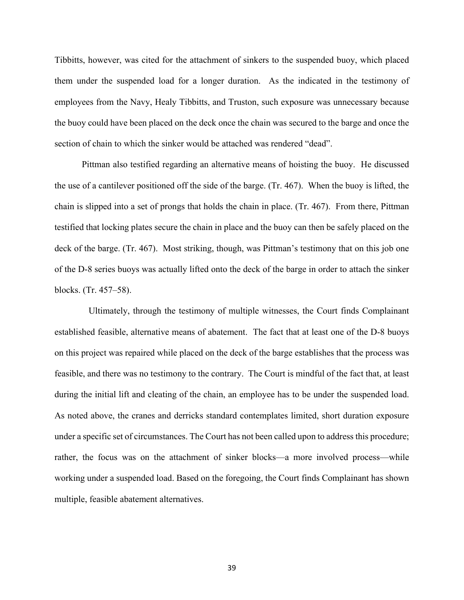Tibbitts, however, was cited for the attachment of sinkers to the suspended buoy, which placed them under the suspended load for a longer duration. As the indicated in the testimony of employees from the Navy, Healy Tibbitts, and Truston, such exposure was unnecessary because the buoy could have been placed on the deck once the chain was secured to the barge and once the section of chain to which the sinker would be attached was rendered "dead".

Pittman also testified regarding an alternative means of hoisting the buoy. He discussed the use of a cantilever positioned off the side of the barge. (Tr. 467). When the buoy is lifted, the chain is slipped into a set of prongs that holds the chain in place. (Tr. 467). From there, Pittman testified that locking plates secure the chain in place and the buoy can then be safely placed on the deck of the barge. (Tr. 467). Most striking, though, was Pittman's testimony that on this job one of the D-8 series buoys was actually lifted onto the deck of the barge in order to attach the sinker blocks. (Tr. 457–58).

Ultimately, through the testimony of multiple witnesses, the Court finds Complainant established feasible, alternative means of abatement. The fact that at least one of the D-8 buoys on this project was repaired while placed on the deck of the barge establishes that the process was feasible, and there was no testimony to the contrary. The Court is mindful of the fact that, at least during the initial lift and cleating of the chain, an employee has to be under the suspended load. As noted above, the cranes and derricks standard contemplates limited, short duration exposure under a specific set of circumstances. The Court has not been called upon to address this procedure; rather, the focus was on the attachment of sinker blocks—a more involved process—while working under a suspended load. Based on the foregoing, the Court finds Complainant has shown multiple, feasible abatement alternatives.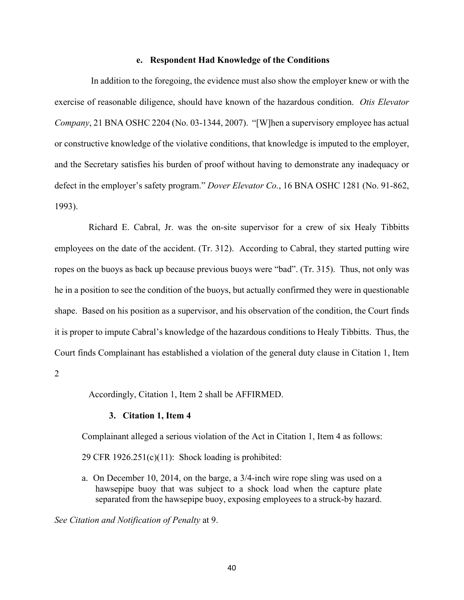### **e. Respondent Had Knowledge of the Conditions**

 In addition to the foregoing, the evidence must also show the employer knew or with the exercise of reasonable diligence, should have known of the hazardous condition. *Otis Elevator Company*, 21 BNA OSHC 2204 (No. 03-1344, 2007). "[W]hen a supervisory employee has actual or constructive knowledge of the violative conditions, that knowledge is imputed to the employer, and the Secretary satisfies his burden of proof without having to demonstrate any inadequacy or defect in the employer's safety program." *Dover Elevator Co.*, 16 BNA OSHC 1281 (No. 91-862, 1993).

Richard E. Cabral, Jr. was the on-site supervisor for a crew of six Healy Tibbitts employees on the date of the accident. (Tr. 312). According to Cabral, they started putting wire ropes on the buoys as back up because previous buoys were "bad". (Tr. 315). Thus, not only was he in a position to see the condition of the buoys, but actually confirmed they were in questionable shape. Based on his position as a supervisor, and his observation of the condition, the Court finds it is proper to impute Cabral's knowledge of the hazardous conditions to Healy Tibbitts. Thus, the Court finds Complainant has established a violation of the general duty clause in Citation 1, Item

2

Accordingly, Citation 1, Item 2 shall be AFFIRMED.

#### **3. Citation 1, Item 4**

Complainant alleged a serious violation of the Act in Citation 1, Item 4 as follows:

29 CFR  $1926.251(c)(11)$ : Shock loading is prohibited:

a. On December 10, 2014, on the barge, a 3/4-inch wire rope sling was used on a hawsepipe buoy that was subject to a shock load when the capture plate separated from the hawsepipe buoy, exposing employees to a struck-by hazard.

*See Citation and Notification of Penalty* at 9.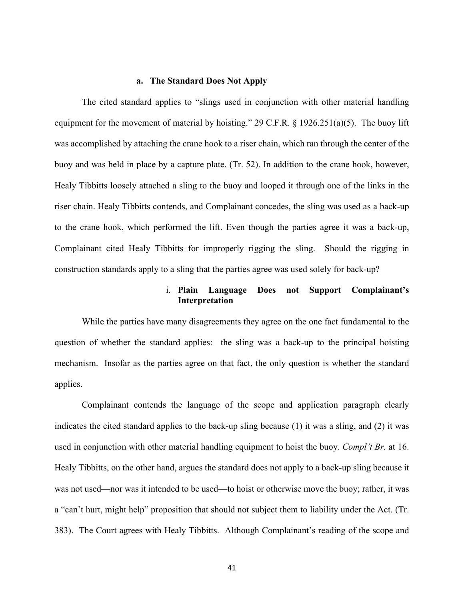### **a. The Standard Does Not Apply**

The cited standard applies to "slings used in conjunction with other material handling equipment for the movement of material by hoisting." 29 C.F.R. § 1926.251(a)(5). The buoy lift was accomplished by attaching the crane hook to a riser chain, which ran through the center of the buoy and was held in place by a capture plate. (Tr. 52). In addition to the crane hook, however, Healy Tibbitts loosely attached a sling to the buoy and looped it through one of the links in the riser chain. Healy Tibbitts contends, and Complainant concedes, the sling was used as a back-up to the crane hook, which performed the lift. Even though the parties agree it was a back-up, Complainant cited Healy Tibbitts for improperly rigging the sling. Should the rigging in construction standards apply to a sling that the parties agree was used solely for back-up?

# i. **Plain Language Does not Support Complainant's Interpretation**

While the parties have many disagreements they agree on the one fact fundamental to the question of whether the standard applies: the sling was a back-up to the principal hoisting mechanism. Insofar as the parties agree on that fact, the only question is whether the standard applies.

Complainant contends the language of the scope and application paragraph clearly indicates the cited standard applies to the back-up sling because (1) it was a sling, and (2) it was used in conjunction with other material handling equipment to hoist the buoy. *Compl't Br.* at 16. Healy Tibbitts, on the other hand, argues the standard does not apply to a back-up sling because it was not used—nor was it intended to be used—to hoist or otherwise move the buoy; rather, it was a "can't hurt, might help" proposition that should not subject them to liability under the Act. (Tr. 383). The Court agrees with Healy Tibbitts. Although Complainant's reading of the scope and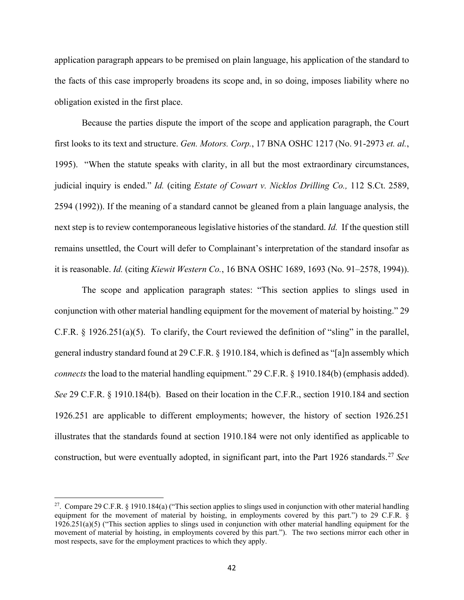application paragraph appears to be premised on plain language, his application of the standard to the facts of this case improperly broadens its scope and, in so doing, imposes liability where no obligation existed in the first place.

Because the parties dispute the import of the scope and application paragraph, the Court first looks to its text and structure. *Gen. Motors. Corp.*, 17 BNA OSHC 1217 (No. 91-2973 *et. al.*, 1995). "When the statute speaks with clarity, in all but the most extraordinary circumstances, judicial inquiry is ended." *Id.* (citing *Estate of Cowart v. Nicklos Drilling Co.,* 112 S.Ct. 2589, 2594 (1992)). If the meaning of a standard cannot be gleaned from a plain language analysis, the next step is to review contemporaneous legislative histories of the standard. *Id.* If the question still remains unsettled, the Court will defer to Complainant's interpretation of the standard insofar as it is reasonable. *Id.* (citing *Kiewit Western Co.*, 16 BNA OSHC 1689, 1693 (No. 91–2578, 1994)).

The scope and application paragraph states: "This section applies to slings used in conjunction with other material handling equipment for the movement of material by hoisting." 29 C.F.R. § 1926.251(a)(5). To clarify, the Court reviewed the definition of "sling" in the parallel, general industry standard found at 29 C.F.R. § 1910.184, which is defined as "[a]n assembly which *connects* the load to the material handling equipment." 29 C.F.R. § 1910.184(b) (emphasis added). *See* 29 C.F.R. § 1910.184(b). Based on their location in the C.F.R., section 1910.184 and section 1926.251 are applicable to different employments; however, the history of section 1926.251 illustrates that the standards found at section 1910.184 were not only identified as applicable to construction, but were eventually adopted, in significant part, into the Part 1926 standards.<sup>[27](#page-41-0)</sup> See

<span id="page-41-0"></span><sup>&</sup>lt;sup>27</sup>. Compare 29 C.F.R. § 1910.184(a) ("This section applies to slings used in conjunction with other material handling equipment for the movement of material by hoisting, in employments covered by this part.") to 29 C.F.R. § 1926.251(a)(5) ("This section applies to slings used in conjunction with other material handling equipment for the movement of material by hoisting, in employments covered by this part."). The two sections mirror each other in most respects, save for the employment practices to which they apply.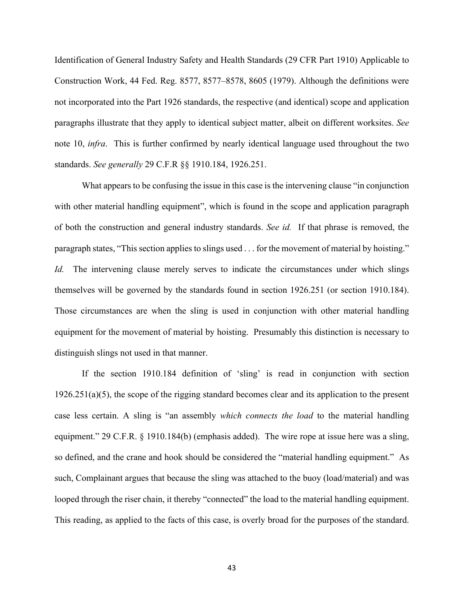Identification of General Industry Safety and Health Standards (29 CFR Part 1910) Applicable to Construction Work, 44 Fed. Reg. 8577, 8577–8578, 8605 (1979). Although the definitions were not incorporated into the Part 1926 standards, the respective (and identical) scope and application paragraphs illustrate that they apply to identical subject matter, albeit on different worksites. *See* note 10, *infra*. This is further confirmed by nearly identical language used throughout the two standards. *See generally* 29 C.F.R §§ 1910.184, 1926.251.

What appears to be confusing the issue in this case is the intervening clause "in conjunction with other material handling equipment", which is found in the scope and application paragraph of both the construction and general industry standards. *See id.* If that phrase is removed, the paragraph states, "This section applies to slings used . . . for the movement of material by hoisting." *Id.* The intervening clause merely serves to indicate the circumstances under which slings themselves will be governed by the standards found in section 1926.251 (or section 1910.184). Those circumstances are when the sling is used in conjunction with other material handling equipment for the movement of material by hoisting. Presumably this distinction is necessary to distinguish slings not used in that manner.

If the section 1910.184 definition of 'sling' is read in conjunction with section 1926.251(a)(5), the scope of the rigging standard becomes clear and its application to the present case less certain. A sling is "an assembly *which connects the load* to the material handling equipment." 29 C.F.R. § 1910.184(b) (emphasis added). The wire rope at issue here was a sling, so defined, and the crane and hook should be considered the "material handling equipment." As such, Complainant argues that because the sling was attached to the buoy (load/material) and was looped through the riser chain, it thereby "connected" the load to the material handling equipment. This reading, as applied to the facts of this case, is overly broad for the purposes of the standard.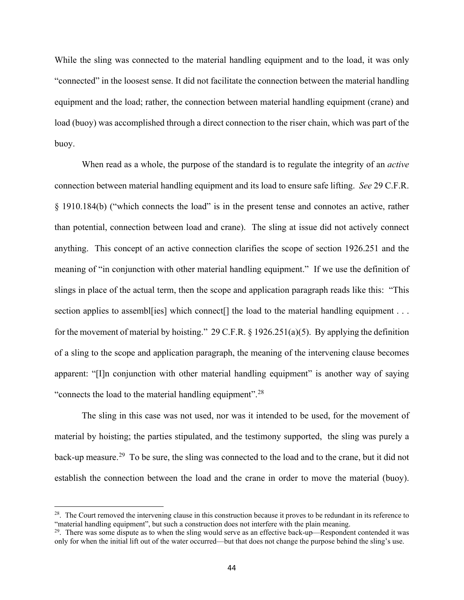While the sling was connected to the material handling equipment and to the load, it was only "connected" in the loosest sense. It did not facilitate the connection between the material handling equipment and the load; rather, the connection between material handling equipment (crane) and load (buoy) was accomplished through a direct connection to the riser chain, which was part of the buoy.

When read as a whole, the purpose of the standard is to regulate the integrity of an *active* connection between material handling equipment and its load to ensure safe lifting. *See* 29 C.F.R. § 1910.184(b) ("which connects the load" is in the present tense and connotes an active, rather than potential, connection between load and crane). The sling at issue did not actively connect anything. This concept of an active connection clarifies the scope of section 1926.251 and the meaning of "in conjunction with other material handling equipment." If we use the definition of slings in place of the actual term, then the scope and application paragraph reads like this: "This section applies to assemble ies] which connect<sup>[]</sup> the load to the material handling equipment . . . for the movement of material by hoisting." 29 C.F.R. § 1926.251(a)(5). By applying the definition of a sling to the scope and application paragraph, the meaning of the intervening clause becomes apparent: "[I]n conjunction with other material handling equipment" is another way of saying "connects the load to the material handling equipment".<sup>[28](#page-43-0)</sup>

The sling in this case was not used, nor was it intended to be used, for the movement of material by hoisting; the parties stipulated, and the testimony supported, the sling was purely a back-up measure.<sup>[29](#page-43-1)</sup> To be sure, the sling was connected to the load and to the crane, but it did not establish the connection between the load and the crane in order to move the material (buoy).

<span id="page-43-0"></span> $28$ . The Court removed the intervening clause in this construction because it proves to be redundant in its reference to "material handling equipment", but such a construction does not interfere with the plain meaning.

<span id="page-43-1"></span> $29$ . There was some dispute as to when the sling would serve as an effective back-up—Respondent contended it was only for when the initial lift out of the water occurred—but that does not change the purpose behind the sling's use.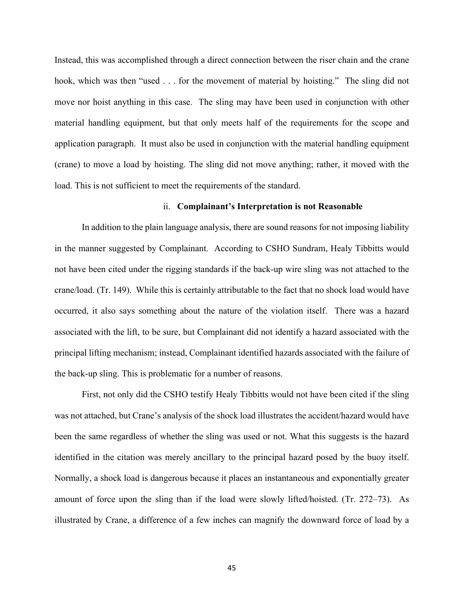Instead, this was accomplished through a direct connection between the riser chain and the crane hook, which was then "used . . . for the movement of material by hoisting." The sling did not move nor hoist anything in this case. The sling may have been used in conjunction with other material handling equipment, but that only meets half of the requirements for the scope and application paragraph. It must also be used in conjunction with the material handling equipment (crane) to move a load by hoisting. The sling did not move anything; rather, it moved with the load. This is not sufficient to meet the requirements of the standard.

### ii. **Complainant's Interpretation is not Reasonable**

In addition to the plain language analysis, there are sound reasons for not imposing liability in the manner suggested by Complainant. According to CSHO Sundram, Healy Tibbitts would not have been cited under the rigging standards if the back-up wire sling was not attached to the crane/load. (Tr. 149). While this is certainly attributable to the fact that no shock load would have occurred, it also says something about the nature of the violation itself. There was a hazard associated with the lift, to be sure, but Complainant did not identify a hazard associated with the principal lifting mechanism; instead, Complainant identified hazards associated with the failure of the back-up sling. This is problematic for a number of reasons.

First, not only did the CSHO testify Healy Tibbitts would not have been cited if the sling was not attached, but Crane's analysis of the shock load illustrates the accident/hazard would have been the same regardless of whether the sling was used or not. What this suggests is the hazard identified in the citation was merely ancillary to the principal hazard posed by the buoy itself. Normally, a shock load is dangerous because it places an instantaneous and exponentially greater amount of force upon the sling than if the load were slowly lifted/hoisted. (Tr. 272–73). As illustrated by Crane, a difference of a few inches can magnify the downward force of load by a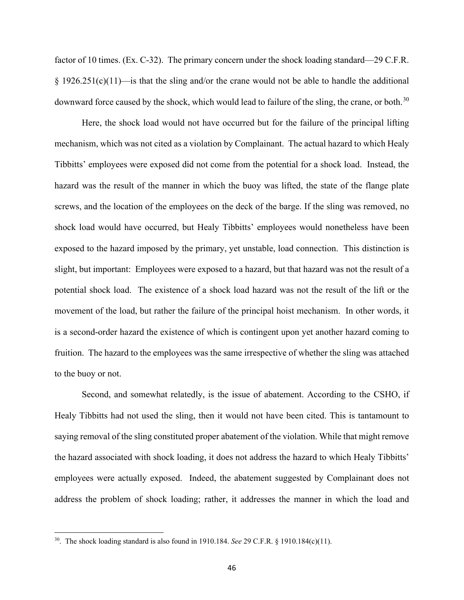factor of 10 times. (Ex. C-32). The primary concern under the shock loading standard—29 C.F.R.  $§$  1926.251(c)(11)—is that the sling and/or the crane would not be able to handle the additional downward force caused by the shock, which would lead to failure of the sling, the crane, or both.<sup>[30](#page-45-0)</sup>

Here, the shock load would not have occurred but for the failure of the principal lifting mechanism, which was not cited as a violation by Complainant. The actual hazard to which Healy Tibbitts' employees were exposed did not come from the potential for a shock load. Instead, the hazard was the result of the manner in which the buoy was lifted, the state of the flange plate screws, and the location of the employees on the deck of the barge. If the sling was removed, no shock load would have occurred, but Healy Tibbitts' employees would nonetheless have been exposed to the hazard imposed by the primary, yet unstable, load connection. This distinction is slight, but important: Employees were exposed to a hazard, but that hazard was not the result of a potential shock load. The existence of a shock load hazard was not the result of the lift or the movement of the load, but rather the failure of the principal hoist mechanism. In other words, it is a second-order hazard the existence of which is contingent upon yet another hazard coming to fruition. The hazard to the employees was the same irrespective of whether the sling was attached to the buoy or not.

Second, and somewhat relatedly, is the issue of abatement. According to the CSHO, if Healy Tibbitts had not used the sling, then it would not have been cited. This is tantamount to saying removal of the sling constituted proper abatement of the violation. While that might remove the hazard associated with shock loading, it does not address the hazard to which Healy Tibbitts' employees were actually exposed. Indeed, the abatement suggested by Complainant does not address the problem of shock loading; rather, it addresses the manner in which the load and

<span id="page-45-0"></span><sup>30.</sup> The shock loading standard is also found in 1910.184. *See* 29 C.F.R. § 1910.184(c)(11).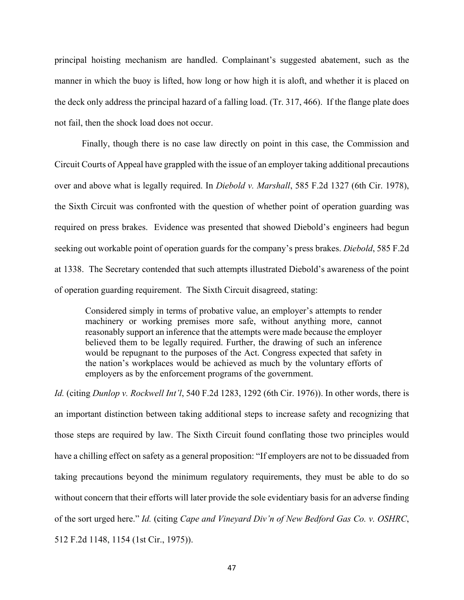principal hoisting mechanism are handled. Complainant's suggested abatement, such as the manner in which the buoy is lifted, how long or how high it is aloft, and whether it is placed on the deck only address the principal hazard of a falling load. (Tr. 317, 466). If the flange plate does not fail, then the shock load does not occur.

Finally, though there is no case law directly on point in this case, the Commission and Circuit Courts of Appeal have grappled with the issue of an employer taking additional precautions over and above what is legally required. In *Diebold v. Marshall*, 585 F.2d 1327 (6th Cir. 1978), the Sixth Circuit was confronted with the question of whether point of operation guarding was required on press brakes. Evidence was presented that showed Diebold's engineers had begun seeking out workable point of operation guards for the company's press brakes. *Diebold*, 585 F.2d at 1338. The Secretary contended that such attempts illustrated Diebold's awareness of the point of operation guarding requirement. The Sixth Circuit disagreed, stating:

Considered simply in terms of probative value, an employer's attempts to render machinery or working premises more safe, without anything more, cannot reasonably support an inference that the attempts were made because the employer believed them to be legally required. Further, the drawing of such an inference would be repugnant to the purposes of the Act. Congress expected that safety in the nation's workplaces would be achieved as much by the voluntary efforts of employers as by the enforcement programs of the government.

*Id.* (citing *Dunlop v. Rockwell Int'l*, 540 F.2d 1283, 1292 (6th Cir. 1976)). In other words, there is an important distinction between taking additional steps to increase safety and recognizing that those steps are required by law. The Sixth Circuit found conflating those two principles would have a chilling effect on safety as a general proposition: "If employers are not to be dissuaded from taking precautions beyond the minimum regulatory requirements, they must be able to do so without concern that their efforts will later provide the sole evidentiary basis for an adverse finding of the sort urged here." *Id.* (citing *Cape and Vineyard Div'n of New Bedford Gas Co. v. OSHRC*, 512 F.2d 1148, 1154 (1st Cir., 1975)).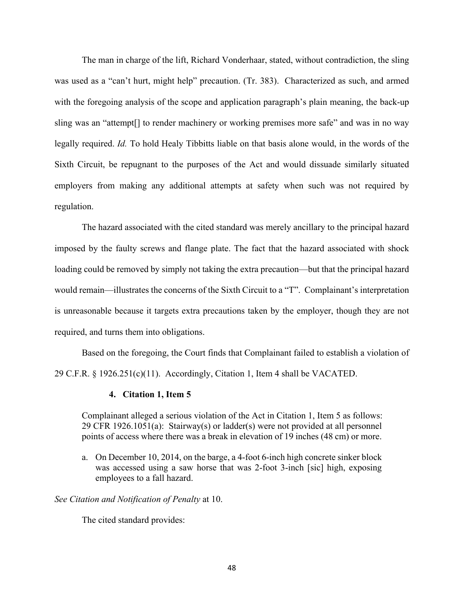The man in charge of the lift, Richard Vonderhaar, stated, without contradiction, the sling was used as a "can't hurt, might help" precaution. (Tr. 383). Characterized as such, and armed with the foregoing analysis of the scope and application paragraph's plain meaning, the back-up sling was an "attempt[] to render machinery or working premises more safe" and was in no way legally required. *Id.* To hold Healy Tibbitts liable on that basis alone would, in the words of the Sixth Circuit, be repugnant to the purposes of the Act and would dissuade similarly situated employers from making any additional attempts at safety when such was not required by regulation.

The hazard associated with the cited standard was merely ancillary to the principal hazard imposed by the faulty screws and flange plate. The fact that the hazard associated with shock loading could be removed by simply not taking the extra precaution—but that the principal hazard would remain—illustrates the concerns of the Sixth Circuit to a "T". Complainant's interpretation is unreasonable because it targets extra precautions taken by the employer, though they are not required, and turns them into obligations.

Based on the foregoing, the Court finds that Complainant failed to establish a violation of 29 C.F.R. § 1926.251(c)(11). Accordingly, Citation 1, Item 4 shall be VACATED.

### **4. Citation 1, Item 5**

Complainant alleged a serious violation of the Act in Citation 1, Item 5 as follows: 29 CFR 1926.1051(a): Stairway(s) or ladder(s) were not provided at all personnel points of access where there was a break in elevation of 19 inches (48 cm) or more.

a. On December 10, 2014, on the barge, a 4-foot 6-inch high concrete sinker block was accessed using a saw horse that was 2-foot 3-inch [sic] high, exposing employees to a fall hazard.

*See Citation and Notification of Penalty* at 10.

The cited standard provides: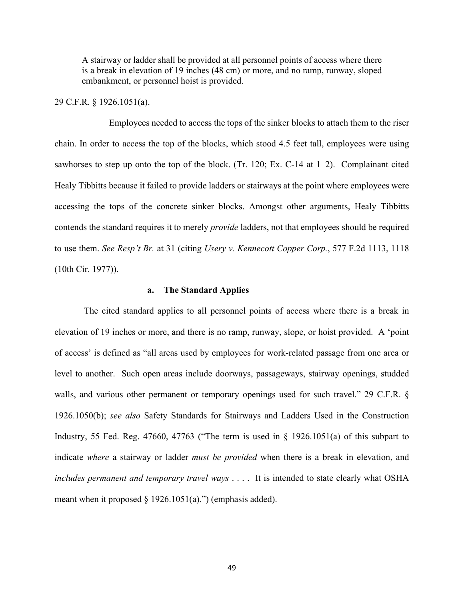A stairway or ladder shall be provided at all personnel points of access where there is a break in elevation of 19 inches (48 cm) or more, and no ramp, runway, sloped embankment, or personnel hoist is provided.

# 29 C.F.R. § 1926.1051(a).

Employees needed to access the tops of the sinker blocks to attach them to the riser chain. In order to access the top of the blocks, which stood 4.5 feet tall, employees were using sawhorses to step up onto the top of the block. (Tr. 120; Ex. C-14 at 1–2). Complainant cited Healy Tibbitts because it failed to provide ladders or stairways at the point where employees were accessing the tops of the concrete sinker blocks. Amongst other arguments, Healy Tibbitts contends the standard requires it to merely *provide* ladders, not that employees should be required to use them. *See Resp't Br.* at 31 (citing *Usery v. Kennecott Copper Corp.*, 577 F.2d 1113, 1118 (10th Cir. 1977)).

#### **a. The Standard Applies**

 The cited standard applies to all personnel points of access where there is a break in elevation of 19 inches or more, and there is no ramp, runway, slope, or hoist provided. A 'point of access' is defined as "all areas used by employees for work-related passage from one area or level to another. Such open areas include doorways, passageways, stairway openings, studded walls, and various other permanent or temporary openings used for such travel." 29 C.F.R. § 1926.1050(b); *see also* Safety Standards for Stairways and Ladders Used in the Construction Industry, 55 Fed. Reg. 47660, 47763 ("The term is used in  $\S$  1926.1051(a) of this subpart to indicate *where* a stairway or ladder *must be provided* when there is a break in elevation, and *includes permanent and temporary travel ways* . . . . It is intended to state clearly what OSHA meant when it proposed  $\S$  1926.1051(a).") (emphasis added).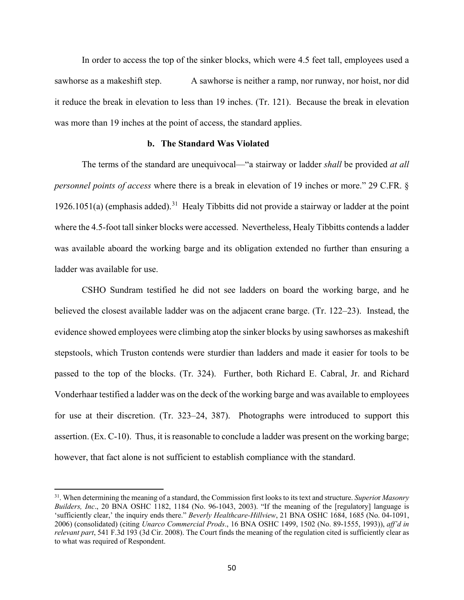In order to access the top of the sinker blocks, which were 4.5 feet tall, employees used a sawhorse as a makeshift step. A sawhorse is neither a ramp, nor runway, nor hoist, nor did it reduce the break in elevation to less than 19 inches. (Tr. 121). Because the break in elevation was more than 19 inches at the point of access, the standard applies.

### **b. The Standard Was Violated**

The terms of the standard are unequivocal—"a stairway or ladder *shall* be provided *at all personnel points of access* where there is a break in elevation of 19 inches or more." 29 C.FR. § 1926.1051(a) (emphasis added).<sup>31</sup> Healy Tibbitts did not provide a stairway or ladder at the point where the 4.5-foot tall sinker blocks were accessed. Nevertheless, Healy Tibbitts contends a ladder was available aboard the working barge and its obligation extended no further than ensuring a ladder was available for use.

CSHO Sundram testified he did not see ladders on board the working barge, and he believed the closest available ladder was on the adjacent crane barge. (Tr. 122–23). Instead, the evidence showed employees were climbing atop the sinker blocks by using sawhorses as makeshift stepstools, which Truston contends were sturdier than ladders and made it easier for tools to be passed to the top of the blocks. (Tr. 324). Further, both Richard E. Cabral, Jr. and Richard Vonderhaar testified a ladder was on the deck of the working barge and was available to employees for use at their discretion. (Tr. 323–24, 387). Photographs were introduced to support this assertion. (Ex. C-10). Thus, it is reasonable to conclude a ladder was present on the working barge; however, that fact alone is not sufficient to establish compliance with the standard.

<span id="page-49-0"></span><sup>31.</sup> When determining the meaning of a standard, the Commission first looks to its text and structure. *Superio*r *Masonry Builders, Inc*., 20 BNA OSHC 1182, 1184 (No. 96-1043, 2003). "If the meaning of the [regulatory] language is 'sufficiently clear,' the inquiry ends there." *Beverly Healthcare-Hillview*, 21 BNA OSHC 1684, 1685 (No. 04-1091, 2006) (consolidated) (citing *Unarco Commercial Prods*., 16 BNA OSHC 1499, 1502 (No. 89-1555, 1993)), *aff'd in relevant part*, 541 F.3d 193 (3d Cir. 2008). The Court finds the meaning of the regulation cited is sufficiently clear as to what was required of Respondent.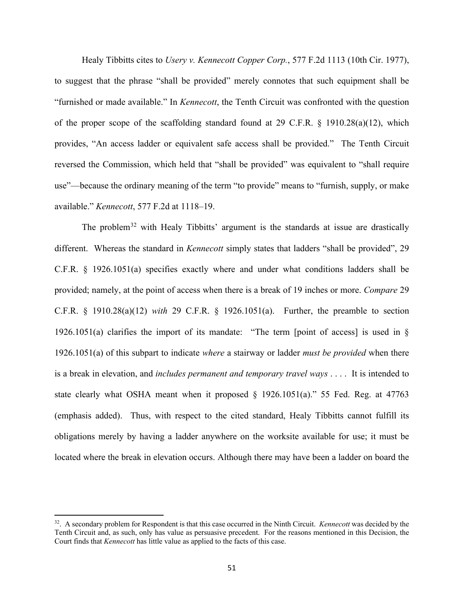Healy Tibbitts cites to *Usery v. Kennecott Copper Corp.*, 577 F.2d 1113 (10th Cir. 1977), to suggest that the phrase "shall be provided" merely connotes that such equipment shall be "furnished or made available." In *Kennecott*, the Tenth Circuit was confronted with the question of the proper scope of the scaffolding standard found at 29 C.F.R. § 1910.28(a)(12), which provides, "An access ladder or equivalent safe access shall be provided." The Tenth Circuit reversed the Commission, which held that "shall be provided" was equivalent to "shall require use"—because the ordinary meaning of the term "to provide" means to "furnish, supply, or make available." *Kennecott*, 577 F.2d at 1118–19.

The problem<sup>[32](#page-50-0)</sup> with Healy Tibbitts' argument is the standards at issue are drastically different. Whereas the standard in *Kennecott* simply states that ladders "shall be provided", 29 C.F.R. § 1926.1051(a) specifies exactly where and under what conditions ladders shall be provided; namely, at the point of access when there is a break of 19 inches or more. *Compare* 29 C.F.R. § 1910.28(a)(12) *with* 29 C.F.R. § 1926.1051(a). Further, the preamble to section 1926.1051(a) clarifies the import of its mandate: "The term [point of access] is used in § 1926.1051(a) of this subpart to indicate *where* a stairway or ladder *must be provided* when there is a break in elevation, and *includes permanent and temporary travel ways* . . . . It is intended to state clearly what OSHA meant when it proposed § 1926.1051(a)." 55 Fed. Reg. at 47763 (emphasis added). Thus, with respect to the cited standard, Healy Tibbitts cannot fulfill its obligations merely by having a ladder anywhere on the worksite available for use; it must be located where the break in elevation occurs. Although there may have been a ladder on board the

<span id="page-50-0"></span><sup>32.</sup> A secondary problem for Respondent is that this case occurred in the Ninth Circuit. *Kennecott* was decided by the Tenth Circuit and, as such, only has value as persuasive precedent. For the reasons mentioned in this Decision, the Court finds that *Kennecott* has little value as applied to the facts of this case.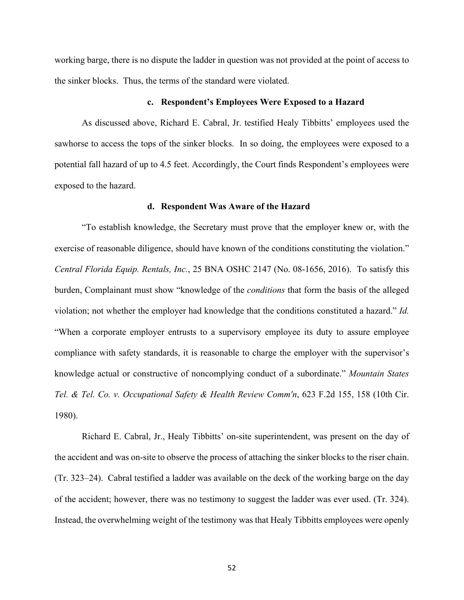working barge, there is no dispute the ladder in question was not provided at the point of access to the sinker blocks. Thus, the terms of the standard were violated.

#### **c. Respondent's Employees Were Exposed to a Hazard**

As discussed above, Richard E. Cabral, Jr. testified Healy Tibbitts' employees used the sawhorse to access the tops of the sinker blocks. In so doing, the employees were exposed to a potential fall hazard of up to 4.5 feet. Accordingly, the Court finds Respondent's employees were exposed to the hazard.

#### **d. Respondent Was Aware of the Hazard**

"To establish knowledge, the Secretary must prove that the employer knew or, with the exercise of reasonable diligence, should have known of the conditions constituting the violation." *Central Florida Equip. Rentals, Inc.*, 25 BNA OSHC 2147 (No. 08-1656, 2016). To satisfy this burden, Complainant must show "knowledge of the *conditions* that form the basis of the alleged violation; not whether the employer had knowledge that the conditions constituted a hazard." *Id.* "When a corporate employer entrusts to a supervisory employee its duty to assure employee compliance with safety standards, it is reasonable to charge the employer with the supervisor's knowledge actual or constructive of noncomplying conduct of a subordinate." *Mountain States Tel. & Tel. Co. v. Occupational Safety & Health Review Comm'n*, 623 F.2d 155, 158 (10th Cir. 1980).

Richard E. Cabral, Jr., Healy Tibbitts' on-site superintendent, was present on the day of the accident and was on-site to observe the process of attaching the sinker blocks to the riser chain. (Tr. 323–24). Cabral testified a ladder was available on the deck of the working barge on the day of the accident; however, there was no testimony to suggest the ladder was ever used. (Tr. 324). Instead, the overwhelming weight of the testimony was that Healy Tibbitts employees were openly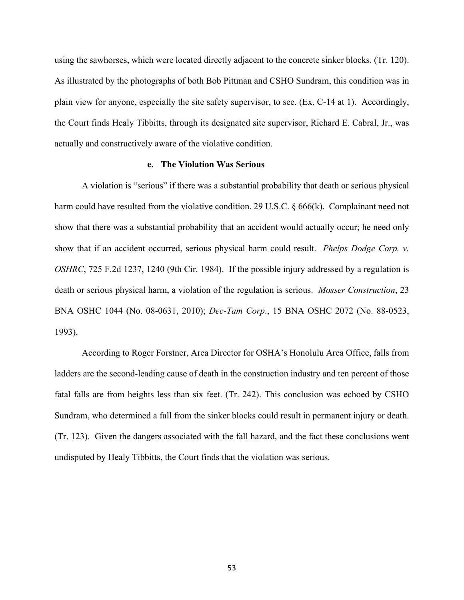using the sawhorses, which were located directly adjacent to the concrete sinker blocks. (Tr. 120). As illustrated by the photographs of both Bob Pittman and CSHO Sundram, this condition was in plain view for anyone, especially the site safety supervisor, to see. (Ex. C-14 at 1). Accordingly, the Court finds Healy Tibbitts, through its designated site supervisor, Richard E. Cabral, Jr., was actually and constructively aware of the violative condition.

#### **e. The Violation Was Serious**

A violation is "serious" if there was a substantial probability that death or serious physical harm could have resulted from the violative condition. 29 U.S.C.  $\S 666(k)$ . Complainant need not show that there was a substantial probability that an accident would actually occur; he need only show that if an accident occurred, serious physical harm could result. *Phelps Dodge Corp. v. OSHRC*, 725 F.2d 1237, 1240 (9th Cir. 1984). If the possible injury addressed by a regulation is death or serious physical harm, a violation of the regulation is serious. *Mosser Construction*, 23 BNA OSHC 1044 (No. 08-0631, 2010); *Dec-Tam Corp*., 15 BNA OSHC 2072 (No. 88-0523, 1993).

According to Roger Forstner, Area Director for OSHA's Honolulu Area Office, falls from ladders are the second-leading cause of death in the construction industry and ten percent of those fatal falls are from heights less than six feet. (Tr. 242). This conclusion was echoed by CSHO Sundram, who determined a fall from the sinker blocks could result in permanent injury or death. (Tr. 123). Given the dangers associated with the fall hazard, and the fact these conclusions went undisputed by Healy Tibbitts, the Court finds that the violation was serious.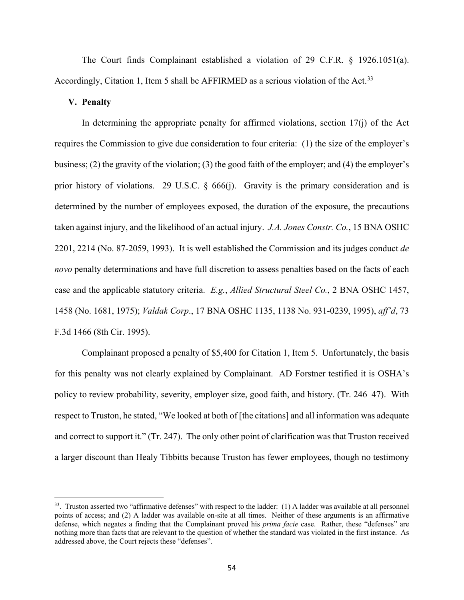The Court finds Complainant established a violation of 29 C.F.R. § 1926.1051(a). Accordingly, Citation 1, Item 5 shall be AFFIRMED as a serious violation of the Act.<sup>33</sup>

### **V. Penalty**

In determining the appropriate penalty for affirmed violations, section  $17(i)$  of the Act requires the Commission to give due consideration to four criteria: (1) the size of the employer's business; (2) the gravity of the violation; (3) the good faith of the employer; and (4) the employer's prior history of violations. 29 U.S.C.  $\S$  666(j). Gravity is the primary consideration and is determined by the number of employees exposed, the duration of the exposure, the precautions taken against injury, and the likelihood of an actual injury. *J.A. Jones Constr. Co.*, 15 BNA OSHC 2201, 2214 (No. 87-2059, 1993). It is well established the Commission and its judges conduct *de novo* penalty determinations and have full discretion to assess penalties based on the facts of each case and the applicable statutory criteria. *E.g.*, *Allied Structural Steel Co.*, 2 BNA OSHC 1457, 1458 (No. 1681, 1975); *Valdak Corp*., 17 BNA OSHC 1135, 1138 No. 931-0239, 1995), *aff'd*, 73 F.3d 1466 (8th Cir. 1995).

Complainant proposed a penalty of \$5,400 for Citation 1, Item 5. Unfortunately, the basis for this penalty was not clearly explained by Complainant. AD Forstner testified it is OSHA's policy to review probability, severity, employer size, good faith, and history. (Tr. 246–47). With respect to Truston, he stated, "We looked at both of [the citations] and all information was adequate and correct to support it." (Tr. 247). The only other point of clarification was that Truston received a larger discount than Healy Tibbitts because Truston has fewer employees, though no testimony

<span id="page-53-0"></span><sup>&</sup>lt;sup>33</sup>. Truston asserted two "affirmative defenses" with respect to the ladder: (1) A ladder was available at all personnel points of access; and (2) A ladder was available on-site at all times. Neither of these arguments is an affirmative defense, which negates a finding that the Complainant proved his *prima facie* case. Rather, these "defenses" are nothing more than facts that are relevant to the question of whether the standard was violated in the first instance. As addressed above, the Court rejects these "defenses".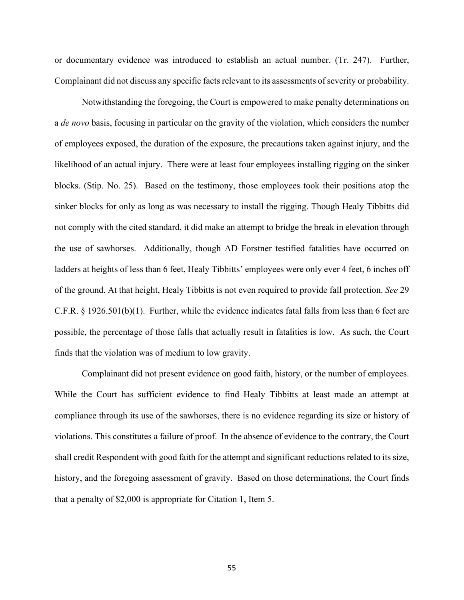or documentary evidence was introduced to establish an actual number. (Tr. 247). Further, Complainant did not discuss any specific facts relevant to its assessments of severity or probability.

Notwithstanding the foregoing, the Court is empowered to make penalty determinations on a *de novo* basis, focusing in particular on the gravity of the violation, which considers the number of employees exposed, the duration of the exposure, the precautions taken against injury, and the likelihood of an actual injury. There were at least four employees installing rigging on the sinker blocks. (Stip. No. 25). Based on the testimony, those employees took their positions atop the sinker blocks for only as long as was necessary to install the rigging. Though Healy Tibbitts did not comply with the cited standard, it did make an attempt to bridge the break in elevation through the use of sawhorses. Additionally, though AD Forstner testified fatalities have occurred on ladders at heights of less than 6 feet, Healy Tibbitts' employees were only ever 4 feet, 6 inches off of the ground. At that height, Healy Tibbitts is not even required to provide fall protection. *See* 29 C.F.R. § 1926.501(b)(1). Further, while the evidence indicates fatal falls from less than 6 feet are possible, the percentage of those falls that actually result in fatalities is low. As such, the Court finds that the violation was of medium to low gravity.

 Complainant did not present evidence on good faith, history, or the number of employees. While the Court has sufficient evidence to find Healy Tibbitts at least made an attempt at compliance through its use of the sawhorses, there is no evidence regarding its size or history of violations. This constitutes a failure of proof. In the absence of evidence to the contrary, the Court shall credit Respondent with good faith for the attempt and significant reductions related to its size, history, and the foregoing assessment of gravity. Based on those determinations, the Court finds that a penalty of \$2,000 is appropriate for Citation 1, Item 5.